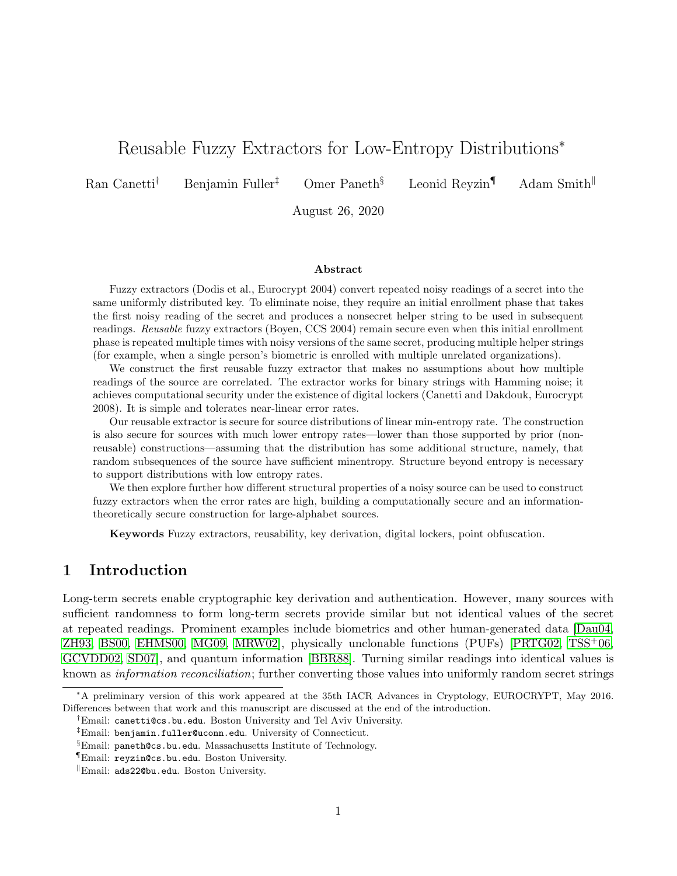# Reusable Fuzzy Extractors for Low-Entropy Distributions<sup>∗</sup>

Ran Canetti<sup>†</sup> Benjamin Fuller<sup>‡</sup> Omer Paneth<sup>§</sup> Leonid Reyzin<sup>¶</sup> Adam Smith<sup>||</sup>

August 26, 2020

#### Abstract

Fuzzy extractors (Dodis et al., Eurocrypt 2004) convert repeated noisy readings of a secret into the same uniformly distributed key. To eliminate noise, they require an initial enrollment phase that takes the first noisy reading of the secret and produces a nonsecret helper string to be used in subsequent readings. Reusable fuzzy extractors (Boyen, CCS 2004) remain secure even when this initial enrollment phase is repeated multiple times with noisy versions of the same secret, producing multiple helper strings (for example, when a single person's biometric is enrolled with multiple unrelated organizations).

We construct the first reusable fuzzy extractor that makes no assumptions about how multiple readings of the source are correlated. The extractor works for binary strings with Hamming noise; it achieves computational security under the existence of digital lockers (Canetti and Dakdouk, Eurocrypt 2008). It is simple and tolerates near-linear error rates.

Our reusable extractor is secure for source distributions of linear min-entropy rate. The construction is also secure for sources with much lower entropy rates—lower than those supported by prior (nonreusable) constructions—assuming that the distribution has some additional structure, namely, that random subsequences of the source have sufficient minentropy. Structure beyond entropy is necessary to support distributions with low entropy rates.

We then explore further how different structural properties of a noisy source can be used to construct fuzzy extractors when the error rates are high, building a computationally secure and an informationtheoretically secure construction for large-alphabet sources.

Keywords Fuzzy extractors, reusability, key derivation, digital lockers, point obfuscation.

### 1 Introduction

Long-term secrets enable cryptographic key derivation and authentication. However, many sources with sufficient randomness to form long-term secrets provide similar but not identical values of the secret at repeated readings. Prominent examples include biometrics and other human-generated data [\[Dau04,](#page-25-0) [ZH93,](#page-28-0) [BS00,](#page-25-1) [EHMS00,](#page-26-0) [MG09,](#page-27-0) [MRW02\]](#page-27-1), physically unclonable functions (PUFs) [\[PRTG02,](#page-28-1) [TSS](#page-28-2)+06, [GCVDD02,](#page-26-1) [SD07\]](#page-28-3), and quantum information [\[BBR88\]](#page-24-0). Turning similar readings into identical values is known as information reconciliation; further converting those values into uniformly random secret strings

<sup>∗</sup>A preliminary version of this work appeared at the 35th IACR Advances in Cryptology, EUROCRYPT, May 2016. Differences between that work and this manuscript are discussed at the end of the introduction.

<sup>†</sup>Email: canetti@cs.bu.edu. Boston University and Tel Aviv University.

<sup>‡</sup>Email: benjamin.fuller@uconn.edu. University of Connecticut.

<sup>§</sup>Email: paneth@cs.bu.edu. Massachusetts Institute of Technology.

<sup>¶</sup>Email: reyzin@cs.bu.edu. Boston University.

<sup>k</sup>Email: ads22@bu.edu. Boston University.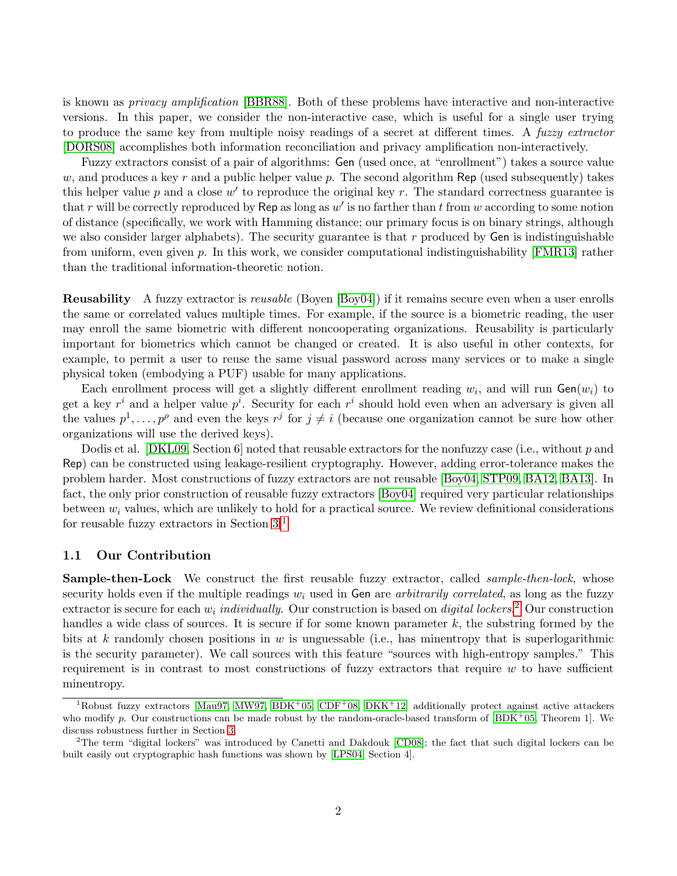is known as privacy amplification [\[BBR88\]](#page-24-0). Both of these problems have interactive and non-interactive versions. In this paper, we consider the non-interactive case, which is useful for a single user trying to produce the same key from multiple noisy readings of a secret at different times. A fuzzy extractor [\[DORS08\]](#page-26-2) accomplishes both information reconciliation and privacy amplification non-interactively.

Fuzzy extractors consist of a pair of algorithms: Gen (used once, at "enrollment") takes a source value w, and produces a key r and a public helper value p. The second algorithm Rep (used subsequently) takes this helper value  $p$  and a close  $w'$  to reproduce the original key  $r$ . The standard correctness guarantee is that r will be correctly reproduced by Rep as long as  $w'$  is no farther than t from w according to some notion of distance (specifically, we work with Hamming distance; our primary focus is on binary strings, although we also consider larger alphabets). The security guarantee is that  $r$  produced by Gen is indistinguishable from uniform, even given p. In this work, we consider computational indistinguishability [\[FMR13\]](#page-26-3) rather than the traditional information-theoretic notion.

Reusability A fuzzy extractor is reusable (Boyen [\[Boy04\]](#page-25-2)) if it remains secure even when a user enrolls the same or correlated values multiple times. For example, if the source is a biometric reading, the user may enroll the same biometric with different noncooperating organizations. Reusability is particularly important for biometrics which cannot be changed or created. It is also useful in other contexts, for example, to permit a user to reuse the same visual password across many services or to make a single physical token (embodying a PUF) usable for many applications.

Each enrollment process will get a slightly different enrollment reading  $w_i$ , and will run  $Gen(w_i)$  to get a key  $r^i$  and a helper value  $p^i$ . Security for each  $r^i$  should hold even when an adversary is given all the values  $p^1, \ldots, p^\rho$  and even the keys  $r^j$  for  $j \neq i$  (because one organization cannot be sure how other organizations will use the derived keys).

Dodis et al. [\[DKL09,](#page-25-3) Section 6] noted that reusable extractors for the nonfuzzy case (i.e., without p and Rep) can be constructed using leakage-resilient cryptography. However, adding error-tolerance makes the problem harder. Most constructions of fuzzy extractors are not reusable [\[Boy04,](#page-25-2) [STP09,](#page-28-4) [BA12,](#page-24-1) [BA13\]](#page-24-2). In fact, the only prior construction of reusable fuzzy extractors [\[Boy04\]](#page-25-2) required very particular relationships between  $w_i$  values, which are unlikely to hold for a practical source. We review definitional considerations for reusable fuzzy extractors in Section [3.](#page-9-0)[1](#page-1-0)

#### 1.1 Our Contribution

**Sample-then-Lock** We construct the first reusable fuzzy extractor, called *sample-then-lock*, whose security holds even if the multiple readings  $w_i$  used in Gen are arbitrarily correlated, as long as the fuzzy extractor is secure for each  $w_i$  *individually*. Our construction is based on *digital lockers*.<sup>[2](#page-1-1)</sup> Our construction handles a wide class of sources. It is secure if for some known parameter  $k$ , the substring formed by the bits at k randomly chosen positions in w is unguessable (i.e., has minentropy that is superlogarithmic is the security parameter). We call sources with this feature "sources with high-entropy samples." This requirement is in contrast to most constructions of fuzzy extractors that require  $w$  to have sufficient minentropy.

<span id="page-1-0"></span> $1R$ obust fuzzy extractors [\[Mau97,](#page-27-2) [MW97,](#page-27-3) [BDK](#page-24-3)+05, [CDF](#page-25-4)+08, [DKK](#page-25-5)+12] additionally protect against active attackers who modify p. Our constructions can be made robust by the random-oracle-based transform of  $|BDK^+05,$  Theorem 1]. We discuss robustness further in Section [3.](#page-9-0)

<span id="page-1-1"></span><sup>2</sup>The term "digital lockers" was introduced by Canetti and Dakdouk [\[CD08\]](#page-25-6); the fact that such digital lockers can be built easily out cryptographic hash functions was shown by [\[LPS04,](#page-27-4) Section 4].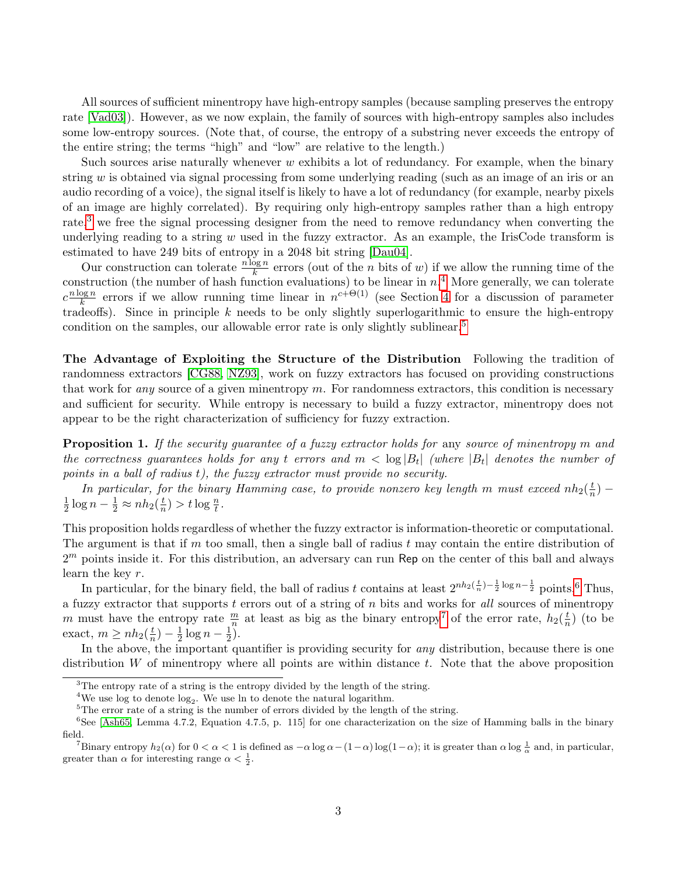All sources of sufficient minentropy have high-entropy samples (because sampling preserves the entropy rate [\[Vad03\]](#page-28-5)). However, as we now explain, the family of sources with high-entropy samples also includes some low-entropy sources. (Note that, of course, the entropy of a substring never exceeds the entropy of the entire string; the terms "high" and "low" are relative to the length.)

Such sources arise naturally whenever  $w$  exhibits a lot of redundancy. For example, when the binary string  $w$  is obtained via signal processing from some underlying reading (such as an image of an iris or an audio recording of a voice), the signal itself is likely to have a lot of redundancy (for example, nearby pixels of an image are highly correlated). By requiring only high-entropy samples rather than a high entropy rate,<sup>[3](#page-2-0)</sup> we free the signal processing designer from the need to remove redundancy when converting the underlying reading to a string  $w$  used in the fuzzy extractor. As an example, the IrisCode transform is estimated to have 249 bits of entropy in a 2048 bit string [\[Dau04\]](#page-25-0).

Our construction can tolerate  $\frac{n \log n}{k}$  errors (out of the *n* bits of *w*) if we allow the running time of the construction (the number of hash function evaluations) to be linear in  $n<sup>4</sup>$  $n<sup>4</sup>$  $n<sup>4</sup>$  More generally, we can tolerate  $c^{\frac{n \log n}{k}}$  $\frac{\log n}{k}$  errors if we allow running time linear in  $n^{c+\Theta(1)}$  (see Section [4](#page-10-0) for a discussion of parameter tradeoffs). Since in principle  $k$  needs to be only slightly superlogarithmic to ensure the high-entropy condition on the samples, our allowable error rate is only slightly sublinear.<sup>[5](#page-2-2)</sup>

The Advantage of Exploiting the Structure of the Distribution Following the tradition of randomness extractors [\[CG88,](#page-25-7) [NZ93\]](#page-28-6), work on fuzzy extractors has focused on providing constructions that work for any source of a given minentropy  $m$ . For randomness extractors, this condition is necessary and sufficient for security. While entropy is necessary to build a fuzzy extractor, minentropy does not appear to be the right characterization of sufficiency for fuzzy extraction.

<span id="page-2-5"></span>**Proposition 1.** If the security guarantee of a fuzzy extractor holds for any source of minentropy m and the correctness guarantees holds for any t errors and  $m < \log |B_t|$  (where  $|B_t|$  denotes the number of points in a ball of radius t), the fuzzy extractor must provide no security.

In particular, for the binary Hamming case, to provide nonzero key length m must exceed  $nh_2(\frac{t}{n})$  $\frac{t}{n}$ ) — 1  $\frac{1}{2} \log n - \frac{1}{2} \approx nh_2(\frac{t}{n})$  $(\frac{t}{n}) > t \log \frac{n}{t}.$ 

This proposition holds regardless of whether the fuzzy extractor is information-theoretic or computational. The argument is that if m too small, then a single ball of radius t may contain the entire distribution of  $2<sup>m</sup>$  points inside it. For this distribution, an adversary can run Rep on the center of this ball and always learn the key r.

In particular, for the binary field, the ball of radius t contains at least  $2^{nh_2(\frac{t}{n})-\frac{1}{2}\log n-\frac{1}{2}}$  points,<sup>[6](#page-2-3)</sup> Thus, a fuzzy extractor that supports t errors out of a string of n bits and works for all sources of minentropy m must have the entropy rate  $\frac{m}{n}$  at least as big as the binary entropy<sup>[7](#page-2-4)</sup> of the error rate,  $h_2(\frac{t}{n})$  $\frac{t}{n}$ ) (to be exact,  $m \ge nh_2(\frac{t}{n})$  $(\frac{t}{n})-\frac{1}{2}$  $\frac{1}{2}\log n-\frac{1}{2}$  $(\frac{1}{2})$ .

In the above, the important quantifier is providing security for *any* distribution, because there is one distribution W of minentropy where all points are within distance  $t$ . Note that the above proposition

<span id="page-2-0"></span><sup>&</sup>lt;sup>3</sup>The entropy rate of a string is the entropy divided by the length of the string.

<span id="page-2-1"></span><sup>&</sup>lt;sup>4</sup>We use log to denote  $log_2$ . We use ln to denote the natural logarithm.

<span id="page-2-3"></span><span id="page-2-2"></span><sup>5</sup>The error rate of a string is the number of errors divided by the length of the string.

<sup>6</sup>See [\[Ash65,](#page-24-4) Lemma 4.7.2, Equation 4.7.5, p. 115] for one characterization on the size of Hamming balls in the binary field.

<span id="page-2-4"></span><sup>&</sup>lt;sup>7</sup>Binary entropy  $h_2(\alpha)$  for  $0 < \alpha < 1$  is defined as  $-\alpha \log \alpha - (1-\alpha) \log(1-\alpha)$ ; it is greater than  $\alpha \log \frac{1}{\alpha}$  and, in particular, greater than  $\alpha$  for interesting range  $\alpha < \frac{1}{2}$ .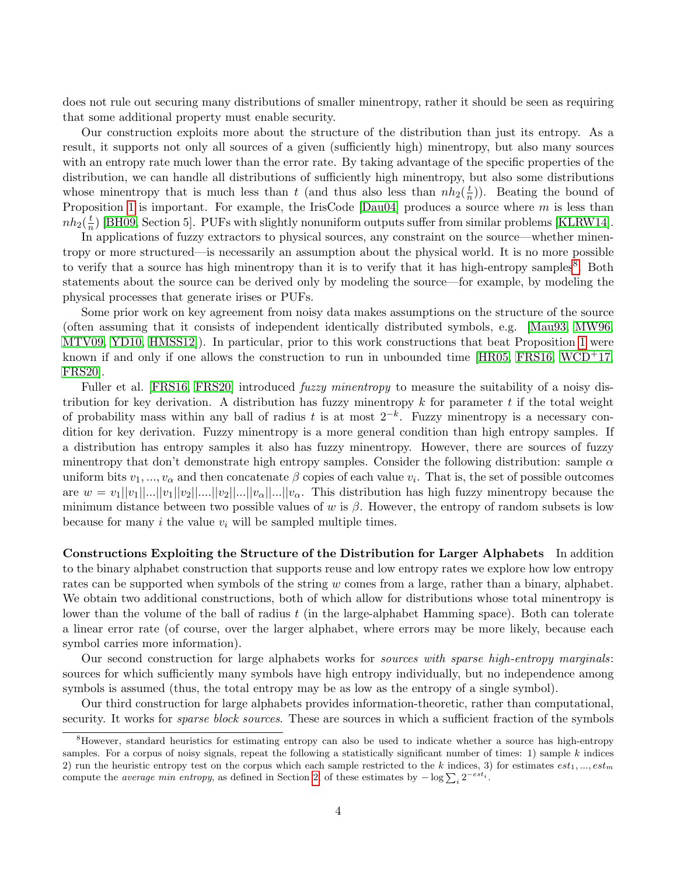does not rule out securing many distributions of smaller minentropy, rather it should be seen as requiring that some additional property must enable security.

Our construction exploits more about the structure of the distribution than just its entropy. As a result, it supports not only all sources of a given (sufficiently high) minentropy, but also many sources with an entropy rate much lower than the error rate. By taking advantage of the specific properties of the distribution, we can handle all distributions of sufficiently high minentropy, but also some distributions whose minentropy that is much less than t (and thus also less than  $nh_2(\frac{t}{n})$  $\frac{t}{n}$ ). Beating the bound of Proposition [1](#page-2-5) is important. For example, the IrisCode  $[Dau04]$  produces a source where m is less than  $nh_2(\frac{t}{n})$  $\frac{t}{n}$ ) [\[BH09,](#page-24-5) Section 5]. PUFs with slightly nonuniform outputs suffer from similar problems [\[KLRW14\]](#page-27-5).

In applications of fuzzy extractors to physical sources, any constraint on the source—whether minentropy or more structured—is necessarily an assumption about the physical world. It is no more possible to verify that a source has high minentropy than it is to verify that it has high-entropy samples<sup>[8](#page-3-0)</sup>. Both statements about the source can be derived only by modeling the source—for example, by modeling the physical processes that generate irises or PUFs.

Some prior work on key agreement from noisy data makes assumptions on the structure of the source (often assuming that it consists of independent identically distributed symbols, e.g. [\[Mau93,](#page-27-6) [MW96,](#page-27-7) [MTV09,](#page-27-8) [YD10,](#page-28-7) [HMSS12\]](#page-26-4)). In particular, prior to this work constructions that beat Proposition [1](#page-2-5) were known if and only if one allows the construction to run in unbounded time  $[HR05, FRS16, WCD+17,$  $[HR05, FRS16, WCD+17,$  $[HR05, FRS16, WCD+17,$  $[HR05, FRS16, WCD+17,$ [FRS20\]](#page-26-7).

Fuller et al. [\[FRS16,](#page-26-6) [FRS20\]](#page-26-7) introduced *fuzzy minentropy* to measure the suitability of a noisy distribution for key derivation. A distribution has fuzzy minentropy  $k$  for parameter  $t$  if the total weight of probability mass within any ball of radius t is at most  $2^{-k}$ . Fuzzy minentropy is a necessary condition for key derivation. Fuzzy minentropy is a more general condition than high entropy samples. If a distribution has entropy samples it also has fuzzy minentropy. However, there are sources of fuzzy minentropy that don't demonstrate high entropy samples. Consider the following distribution: sample  $\alpha$ uniform bits  $v_1, ..., v_\alpha$  and then concatenate  $\beta$  copies of each value  $v_i$ . That is, the set of possible outcomes are  $w = v_1||v_1||...||v_1||v_2||...||v_2||...||v_\alpha||...||v_\alpha$ . This distribution has high fuzzy minentropy because the minimum distance between two possible values of w is  $\beta$ . However, the entropy of random subsets is low because for many i the value  $v_i$  will be sampled multiple times.

Constructions Exploiting the Structure of the Distribution for Larger Alphabets In addition to the binary alphabet construction that supports reuse and low entropy rates we explore how low entropy rates can be supported when symbols of the string w comes from a large, rather than a binary, alphabet. We obtain two additional constructions, both of which allow for distributions whose total minentropy is lower than the volume of the ball of radius  $t$  (in the large-alphabet Hamming space). Both can tolerate a linear error rate (of course, over the larger alphabet, where errors may be more likely, because each symbol carries more information).

Our second construction for large alphabets works for sources with sparse high-entropy marginals: sources for which sufficiently many symbols have high entropy individually, but no independence among symbols is assumed (thus, the total entropy may be as low as the entropy of a single symbol).

Our third construction for large alphabets provides information-theoretic, rather than computational, security. It works for *sparse block sources*. These are sources in which a sufficient fraction of the symbols

<span id="page-3-0"></span><sup>8</sup>However, standard heuristics for estimating entropy can also be used to indicate whether a source has high-entropy samples. For a corpus of noisy signals, repeat the following a statistically significant number of times: 1) sample  $k$  indices 2) run the heuristic entropy test on the corpus which each sample restricted to the k indices, 3) for estimates  $est_1, ..., est_m$ compute the *average min entropy*, as defined in Section [2,](#page-5-0) of these estimates by  $-\log \sum_i 2^{-est_i}$ .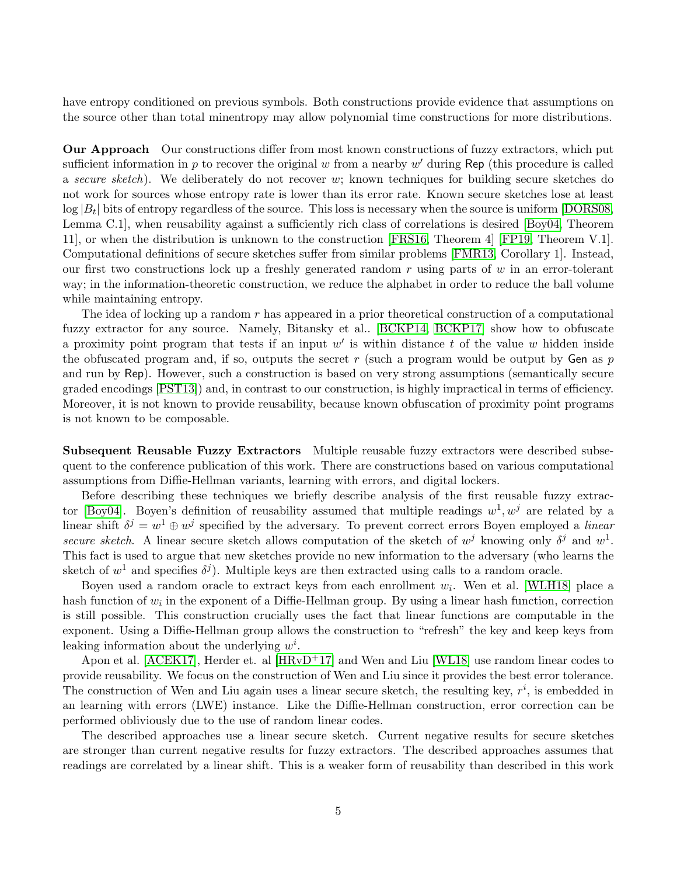have entropy conditioned on previous symbols. Both constructions provide evidence that assumptions on the source other than total minentropy may allow polynomial time constructions for more distributions.

Our Approach Our constructions differ from most known constructions of fuzzy extractors, which put sufficient information in  $p$  to recover the original  $w$  from a nearby  $w'$  during Rep (this procedure is called a secure sketch). We deliberately do not recover w; known techniques for building secure sketches do not work for sources whose entropy rate is lower than its error rate. Known secure sketches lose at least  $\log |B_t|$  bits of entropy regardless of the source. This loss is necessary when the source is uniform [\[DORS08,](#page-26-2) Lemma C.1], when reusability against a sufficiently rich class of correlations is desired [\[Boy04,](#page-25-2) Theorem 11], or when the distribution is unknown to the construction [\[FRS16,](#page-26-6) Theorem 4] [\[FP19,](#page-26-8) Theorem V.1]. Computational definitions of secure sketches suffer from similar problems [\[FMR13,](#page-26-3) Corollary 1]. Instead, our first two constructions lock up a freshly generated random  $r$  using parts of  $w$  in an error-tolerant way; in the information-theoretic construction, we reduce the alphabet in order to reduce the ball volume while maintaining entropy.

The idea of locking up a random  $r$  has appeared in a prior theoretical construction of a computational fuzzy extractor for any source. Namely, Bitansky et al.. [\[BCKP14,](#page-24-6) [BCKP17\]](#page-24-7) show how to obfuscate a proximity point program that tests if an input  $w'$  is within distance t of the value w hidden inside the obfuscated program and, if so, outputs the secret r (such a program would be output by Gen as  $p$ and run by Rep). However, such a construction is based on very strong assumptions (semantically secure graded encodings [\[PST13\]](#page-28-9)) and, in contrast to our construction, is highly impractical in terms of efficiency. Moreover, it is not known to provide reusability, because known obfuscation of proximity point programs is not known to be composable.

Subsequent Reusable Fuzzy Extractors Multiple reusable fuzzy extractors were described subsequent to the conference publication of this work. There are constructions based on various computational assumptions from Diffie-Hellman variants, learning with errors, and digital lockers.

Before describing these techniques we briefly describe analysis of the first reusable fuzzy extrac-tor [\[Boy04\]](#page-25-2). Boyen's definition of reusability assumed that multiple readings  $w^1, w^j$  are related by a linear shift  $\delta^j = w^1 \oplus w^j$  specified by the adversary. To prevent correct errors Boyen employed a linear secure sketch. A linear secure sketch allows computation of the sketch of  $w^j$  knowing only  $\delta^j$  and  $w^1$ . This fact is used to argue that new sketches provide no new information to the adversary (who learns the sketch of  $w^1$  and specifies  $\delta^j$ ). Multiple keys are then extracted using calls to a random oracle.

Boyen used a random oracle to extract keys from each enrollment  $w_i$ . Wen et al. [\[WLH18\]](#page-28-10) place a hash function of  $w_i$  in the exponent of a Diffie-Hellman group. By using a linear hash function, correction is still possible. This construction crucially uses the fact that linear functions are computable in the exponent. Using a Diffie-Hellman group allows the construction to "refresh" the key and keep keys from leaking information about the underlying  $w^i$ .

Apon et al. [\[ACEK17\]](#page-24-8), Herder et. al  $[HRvD+17]$  $[HRvD+17]$  and Wen and Liu [\[WL18\]](#page-28-11) use random linear codes to provide reusability. We focus on the construction of Wen and Liu since it provides the best error tolerance. The construction of Wen and Liu again uses a linear secure sketch, the resulting key,  $r^i$ , is embedded in an learning with errors (LWE) instance. Like the Diffie-Hellman construction, error correction can be performed obliviously due to the use of random linear codes.

The described approaches use a linear secure sketch. Current negative results for secure sketches are stronger than current negative results for fuzzy extractors. The described approaches assumes that readings are correlated by a linear shift. This is a weaker form of reusability than described in this work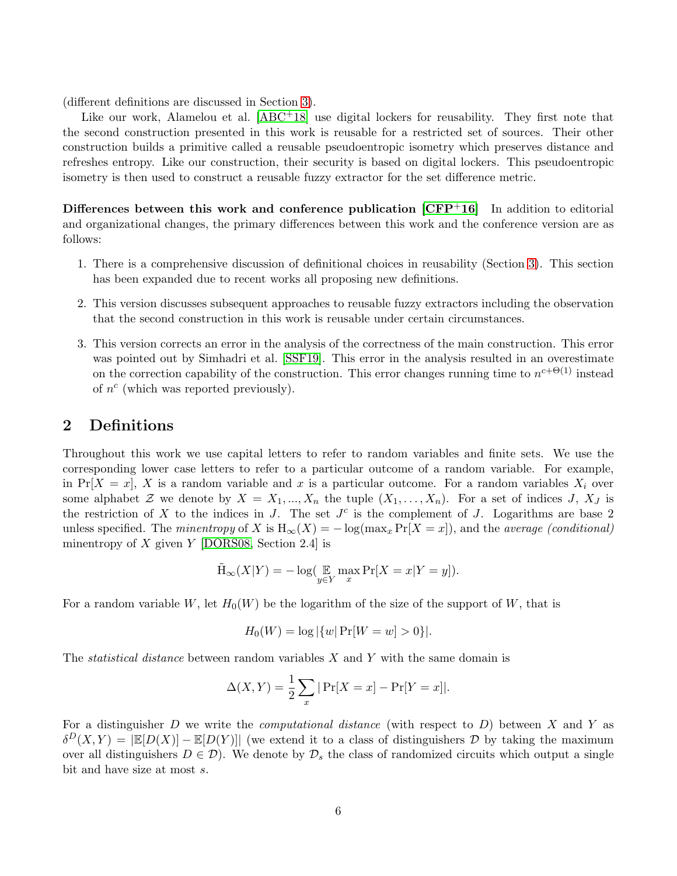(different definitions are discussed in Section [3\)](#page-9-0).

Like our work, Alamelou et al.  $[ABC^+18]$  $[ABC^+18]$  use digital lockers for reusability. They first note that the second construction presented in this work is reusable for a restricted set of sources. Their other construction builds a primitive called a reusable pseudoentropic isometry which preserves distance and refreshes entropy. Like our construction, their security is based on digital lockers. This pseudoentropic isometry is then used to construct a reusable fuzzy extractor for the set difference metric.

Differences between this work and conference publication  $\text{[CFP+16]}$  $\text{[CFP+16]}$  $\text{[CFP+16]}$  In addition to editorial and organizational changes, the primary differences between this work and the conference version are as follows:

- 1. There is a comprehensive discussion of definitional choices in reusability (Section [3\)](#page-9-0). This section has been expanded due to recent works all proposing new definitions.
- 2. This version discusses subsequent approaches to reusable fuzzy extractors including the observation that the second construction in this work is reusable under certain circumstances.
- 3. This version corrects an error in the analysis of the correctness of the main construction. This error was pointed out by Simhadri et al. [\[SSF19\]](#page-28-12). This error in the analysis resulted in an overestimate on the correction capability of the construction. This error changes running time to  $n^{c+\Theta(1)}$  instead of  $n^c$  (which was reported previously).

### <span id="page-5-0"></span>2 Definitions

Throughout this work we use capital letters to refer to random variables and finite sets. We use the corresponding lower case letters to refer to a particular outcome of a random variable. For example, in Pr[X = x], X is a random variable and x is a particular outcome. For a random variables  $X_i$  over some alphabet Z we denote by  $X = X_1, ..., X_n$  the tuple  $(X_1, ..., X_n)$ . For a set of indices J,  $X_J$  is the restriction of X to the indices in J. The set  $J<sup>c</sup>$  is the complement of J. Logarithms are base 2 unless specified. The minentropy of X is  $H_{\infty}(X) = -\log(\max_x \Pr[X = x])$ , and the *average (conditional)* minentropy of X given  $Y$  [\[DORS08,](#page-26-2) Section 2.4] is

$$
\tilde{\mathrm{H}}_{\infty}(X|Y) = -\log(\mathop{\mathbb{E}}_{y \in Y} \max_{x} \Pr[X = x | Y = y]).
$$

For a random variable W, let  $H_0(W)$  be the logarithm of the size of the support of W, that is

$$
H_0(W) = \log |\{w| \Pr[W = w] > 0\}|.
$$

The *statistical distance* between random variables  $X$  and  $Y$  with the same domain is

$$
\Delta(X, Y) = \frac{1}{2} \sum_{x} |Pr[X = x] - Pr[Y = x]|.
$$

For a distinguisher D we write the *computational distance* (with respect to  $D$ ) between X and Y as  $\delta^{D}(X,Y) = |\mathbb{E}[D(X)] - \mathbb{E}[D(Y)]|$  (we extend it to a class of distinguishers D by taking the maximum over all distinguishers  $D \in \mathcal{D}$ . We denote by  $\mathcal{D}_s$  the class of randomized circuits which output a single bit and have size at most s.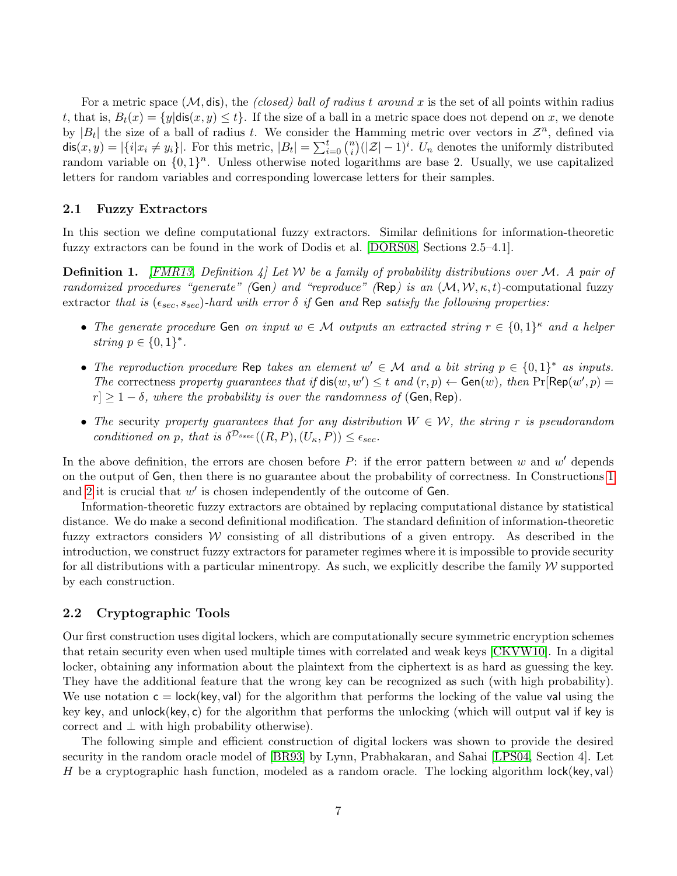For a metric space  $(M, \text{dis})$ , the *(closed) ball of radius t around x* is the set of all points within radius t, that is,  $B_t(x) = \{y | \text{dis}(x, y) \leq t\}$ . If the size of a ball in a metric space does not depend on x, we denote by  $|B_t|$  the size of a ball of radius t. We consider the Hamming metric over vectors in  $\mathcal{Z}^n$ , defined via dis $(x, y) = |\{i | x_i \neq y_i\}|$ . For this metric,  $|B_t| = \sum_{i=0}^{t} {n \choose i}$  $\binom{n}{i}(|\mathcal{Z}|-1)^i$ . U<sub>n</sub> denotes the uniformly distributed random variable on  $\{0,1\}^n$ . Unless otherwise noted logarithms are base 2. Usually, we use capitalized letters for random variables and corresponding lowercase letters for their samples.

#### 2.1 Fuzzy Extractors

In this section we define computational fuzzy extractors. Similar definitions for information-theoretic fuzzy extractors can be found in the work of Dodis et al. [\[DORS08,](#page-26-2) Sections 2.5–4.1].

<span id="page-6-0"></span>**Definition 1.** [\[FMR13,](#page-26-3) Definition 4] Let W be a family of probability distributions over M. A pair of randomized procedures "generate" (Gen) and "reproduce" (Rep) is an  $(M, W, \kappa, t)$ -computational fuzzy extractor that is  $(\epsilon_{sec}, s_{sec})$ -hard with error  $\delta$  if Gen and Rep satisfy the following properties:

- The generate procedure Gen on input  $w \in \mathcal{M}$  outputs an extracted string  $r \in \{0,1\}^{\kappa}$  and a helper string  $p \in \{0,1\}^*$ .
- The reproduction procedure Rep takes an element  $w' \in \mathcal{M}$  and a bit string  $p \in \{0,1\}^*$  as inputs. The correctness property guarantees that if  $dis(w, w') \leq t$  and  $(r, p) \leftarrow Gen(w)$ , then  $Pr[Rep(w', p) =$  $|r| \geq 1-\delta$ , where the probability is over the randomness of (Gen, Rep).
- The security property guarantees that for any distribution  $W \in \mathcal{W}$ , the string r is pseudorandom conditioned on p, that is  $\delta^{\mathcal{D}_{\text{ssec}}}((R, P), (U_{\kappa}, P)) \leq \epsilon_{\text{sec}}.$

In the above definition, the errors are chosen before  $P$ : if the error pattern between w and w' depends on the output of Gen, then there is no guarantee about the probability of correctness. In Constructions [1](#page-11-0) and [2](#page-15-0) it is crucial that  $w'$  is chosen independently of the outcome of Gen.

Information-theoretic fuzzy extractors are obtained by replacing computational distance by statistical distance. We do make a second definitional modification. The standard definition of information-theoretic fuzzy extractors considers W consisting of all distributions of a given entropy. As described in the introduction, we construct fuzzy extractors for parameter regimes where it is impossible to provide security for all distributions with a particular minentropy. As such, we explicitly describe the family  $W$  supported by each construction.

### <span id="page-6-1"></span>2.2 Cryptographic Tools

Our first construction uses digital lockers, which are computationally secure symmetric encryption schemes that retain security even when used multiple times with correlated and weak keys [\[CKVW10\]](#page-25-9). In a digital locker, obtaining any information about the plaintext from the ciphertext is as hard as guessing the key. They have the additional feature that the wrong key can be recognized as such (with high probability). We use notation  $c = \text{lock}(\text{key}, \text{val})$  for the algorithm that performs the locking of the value value value key key, and unlock(key, c) for the algorithm that performs the unlocking (which will output val if key is correct and  $\perp$  with high probability otherwise).

The following simple and efficient construction of digital lockers was shown to provide the desired security in the random oracle model of [\[BR93\]](#page-25-10) by Lynn, Prabhakaran, and Sahai [\[LPS04,](#page-27-4) Section 4]. Let H be a cryptographic hash function, modeled as a random oracle. The locking algorithm  $lock(key,val)$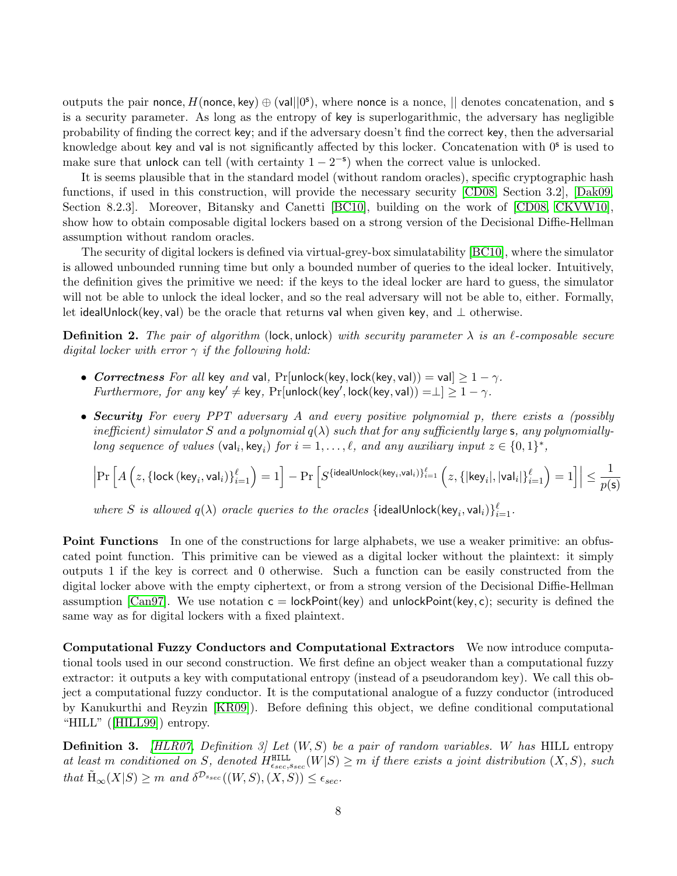outputs the pair nonce,  $H(\text{none}, \text{key}) \oplus (\text{val}||0^{\text{s}})$ , where nonce is a nonce,  $||$  denotes concatenation, and s is a security parameter. As long as the entropy of key is superlogarithmic, the adversary has negligible probability of finding the correct key; and if the adversary doesn't find the correct key, then the adversarial knowledge about key and val is not significantly affected by this locker. Concatenation with 0<sup>s</sup> is used to make sure that unlock can tell (with certainty  $1 - 2^{-s}$ ) when the correct value is unlocked.

It is seems plausible that in the standard model (without random oracles), specific cryptographic hash functions, if used in this construction, will provide the necessary security [\[CD08,](#page-25-6) Section 3.2], [\[Dak09,](#page-25-11) Section 8.2.3]. Moreover, Bitansky and Canetti [\[BC10\]](#page-24-10), building on the work of [\[CD08,](#page-25-6) [CKVW10\]](#page-25-9), show how to obtain composable digital lockers based on a strong version of the Decisional Diffie-Hellman assumption without random oracles.

The security of digital lockers is defined via virtual-grey-box simulatability [\[BC10\]](#page-24-10), where the simulator is allowed unbounded running time but only a bounded number of queries to the ideal locker. Intuitively, the definition gives the primitive we need: if the keys to the ideal locker are hard to guess, the simulator will not be able to unlock the ideal locker, and so the real adversary will not be able to, either. Formally, let idealUnlock(key, val) be the oracle that returns val when given key, and  $\perp$  otherwise.

<span id="page-7-0"></span>**Definition 2.** The pair of algorithm (lock, unlock) with security parameter  $\lambda$  is an  $\ell$ -composable secure digital locker with error  $\gamma$  if the following hold:

- Correctness For all key and val, Pr[unlock(key, lock(key, val)) = val $\geq 1 \gamma$ . Furthermore, for any key'  $\neq$  key, Pr[unlock(key', lock(key, val)) = $\perp$ ]  $\geq 1 - \gamma$ .
- Security For every PPT adversary A and every positive polynomial p, there exists a (possibly inefficient) simulator S and a polynomial  $q(\lambda)$  such that for any sufficiently large s, any polynomiallylong sequence of values  $(\text{val}_i, \text{key}_i)$  for  $i = 1, ..., \ell$ , and any auxiliary input  $z \in \{0, 1\}^*$ ,

$$
\Big|\mathrm{Pr}\left[A\left(z,\left\{\mathsf{lock}\left(\mathsf{key}_i,\mathsf{val}_i\right)\right\}_{i=1}^\ell\right)=1\right]-\mathrm{Pr}\left[S^{\{\mathsf{idealUnlock}(\mathsf{key}_i,\mathsf{val}_i)\}_{i=1}^\ell}\left(z,\left\{\mathsf{key}_i\right\},\mathsf{val}_i\right]\right)_{i=1}^\ell\right)=1\Big]\Big|\leq\frac{1}{p(\mathsf{s})}
$$

where S is allowed  $q(\lambda)$  oracle queries to the oracles {idealUnlock(key<sub>i</sub>, val<sub>i</sub>)} ${}_{i=1}^{\ell}$ .

**Point Functions** In one of the constructions for large alphabets, we use a weaker primitive: an obfuscated point function. This primitive can be viewed as a digital locker without the plaintext: it simply outputs 1 if the key is correct and 0 otherwise. Such a function can be easily constructed from the digital locker above with the empty ciphertext, or from a strong version of the Decisional Diffie-Hellman assumption [\[Can97\]](#page-25-12). We use notation  $c = \text{lockPoint}(\text{key})$  and unlockPoint(key, c); security is defined the same way as for digital lockers with a fixed plaintext.

Computational Fuzzy Conductors and Computational Extractors We now introduce computational tools used in our second construction. We first define an object weaker than a computational fuzzy extractor: it outputs a key with computational entropy (instead of a pseudorandom key). We call this object a computational fuzzy conductor. It is the computational analogue of a fuzzy conductor (introduced by Kanukurthi and Reyzin [\[KR09\]](#page-27-10)). Before defining this object, we define conditional computational "HILL" ([\[HILL99\]](#page-26-9)) entropy.

**Definition 3.** [\[HLR07,](#page-26-10) Definition 3] Let  $(W, S)$  be a pair of random variables. W has HILL entropy at least m conditioned on S, denoted  $H_{\epsilon_{sec},\epsilon_{sec}}^{\text{HILL}}(W|S) \geq m$  if there exists a joint distribution  $(X, S)$ , such that  $\tilde{H}_{\infty}(X|S) \geq m$  and  $\delta^{\mathcal{D}_{\text{sec}}}((W,S),(X,S)) \leq \epsilon_{\text{sec}}$ .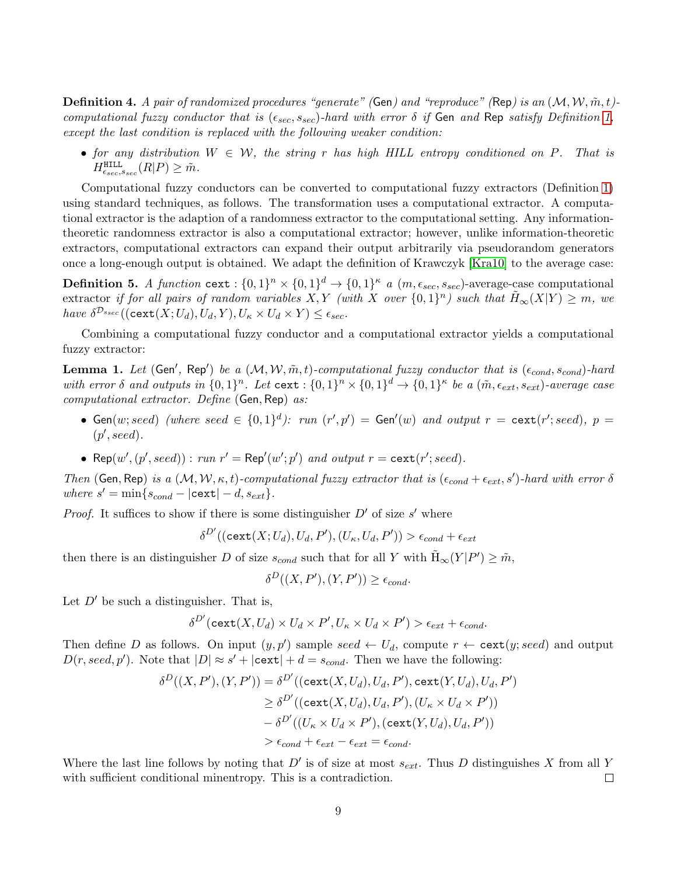**Definition 4.** A pair of randomized procedures "generate" (Gen) and "reproduce" (Rep) is an  $(M, W, \tilde{m}, t)$ computational fuzzy conductor that is  $(\epsilon_{sec}, s_{sec})$ -hard with error  $\delta$  if Gen and Rep satisfy Definition [1,](#page-6-0) except the last condition is replaced with the following weaker condition:

• for any distribution  $W \in \mathcal{W}$ , the string r has high HILL entropy conditioned on P. That is  $H^{\texttt{HILL}}_{\epsilon_{sec}, s_{sec}}(R|P) \geq \tilde{m}.$ 

Computational fuzzy conductors can be converted to computational fuzzy extractors (Definition [1\)](#page-6-0) using standard techniques, as follows. The transformation uses a computational extractor. A computational extractor is the adaption of a randomness extractor to the computational setting. Any informationtheoretic randomness extractor is also a computational extractor; however, unlike information-theoretic extractors, computational extractors can expand their output arbitrarily via pseudorandom generators once a long-enough output is obtained. We adapt the definition of Krawczyk [\[Kra10\]](#page-27-11) to the average case:

**Definition 5.** A function cext :  $\{0,1\}^n \times \{0,1\}^d \to \{0,1\}^{\kappa}$  a  $(m, \epsilon_{sec}, s_{sec})$ -average-case computational extractor if for all pairs of random variables  $X, Y$  (with  $X$  over  $\{0,1\}^n$ ) such that  $\tilde{H}_{\infty}(X|Y) \geq m$ , we have  $\delta^{\mathcal{D}_{\text{ssec}}}((\text{cext}(X;U_d),U_d,Y),U_{\kappa}\times U_d\times Y)\leq \epsilon_{\text{sec}}.$ 

Combining a computational fuzzy conductor and a computational extractor yields a computational fuzzy extractor:

<span id="page-8-0"></span>**Lemma 1.** Let (Gen', Rep') be a  $(M, W, \tilde{m}, t)$ -computational fuzzy conductor that is  $(\epsilon_{cond}, s_{cond})$ -hard with error  $\delta$  and outputs in  $\{0,1\}^n$ . Let cext:  $\{0,1\}^n \times \{0,1\}^d \to \{0,1\}^{\kappa}$  be a  $(\tilde{m}, \epsilon_{ext}, s_{ext})$ -average case computational extractor. Define (Gen, Rep) as:

- Gen(w; seed) (where seed  $\in \{0,1\}^d$ ): run  $(r',p') =$  Gen'(w) and output  $r = \text{cext}(r';seed)$ ,  $p =$  $(p', seed).$
- Rep $(w', (p', seed))$ : run  $r' = \text{Rep}'(w'; p')$  and output  $r = \text{cext}(r'; seed)$ .

Then (Gen, Rep) is a  $(M, W, \kappa, t)$ -computational fuzzy extractor that is  $(\epsilon_{cond} + \epsilon_{ext}, s')$ -hard with error  $\delta$ where  $s' = \min\{s_{cond} - |\text{cext}| - d, s_{ext}\}.$ 

*Proof.* It suffices to show if there is some distinguisher  $D'$  of size s' where

$$
\delta^{D'}((\texttt{cext}(X;U_d),U_d,P'),(U_\kappa,U_d,P'))>\epsilon_{cond}+\epsilon_{ext}
$$

then there is an distinguisher D of size  $s_{cond}$  such that for all Y with  $\tilde{H}_{\infty}(Y|P') \geq \tilde{m}$ ,

$$
\delta^D((X, P'), (Y, P')) \ge \epsilon_{cond}.
$$

Let  $D'$  be such a distinguisher. That is,

$$
\delta^{D'}(\text{cext}(X, U_d) \times U_d \times P', U_\kappa \times U_d \times P') > \epsilon_{ext} + \epsilon_{cond}.
$$

Then define D as follows. On input  $(y, p')$  sample seed  $\leftarrow U_d$ , compute  $r \leftarrow \texttt{cext}(y; seed)$  and output  $D(r, seed, p')$ . Note that  $|D| \approx s' + |\text{cext}| + d = s_{cond}$ . Then we have the following:

$$
\delta^D((X, P'), (Y, P')) = \delta^{D'}((\text{cext}(X, U_d), U_d, P'), \text{cext}(Y, U_d), U_d, P')
$$
  
\n
$$
\geq \delta^{D'}((\text{cext}(X, U_d), U_d, P'), (U_{\kappa} \times U_d \times P'))
$$
  
\n
$$
- \delta^{D'}((U_{\kappa} \times U_d \times P'), (\text{cext}(Y, U_d), U_d, P'))
$$
  
\n
$$
> \epsilon_{cond} + \epsilon_{ext} - \epsilon_{ext} = \epsilon_{cond}.
$$

Where the last line follows by noting that  $D'$  is of size at most  $s_{ext}$ . Thus D distinguishes X from all Y with sufficient conditional minentropy. This is a contradiction.  $\Box$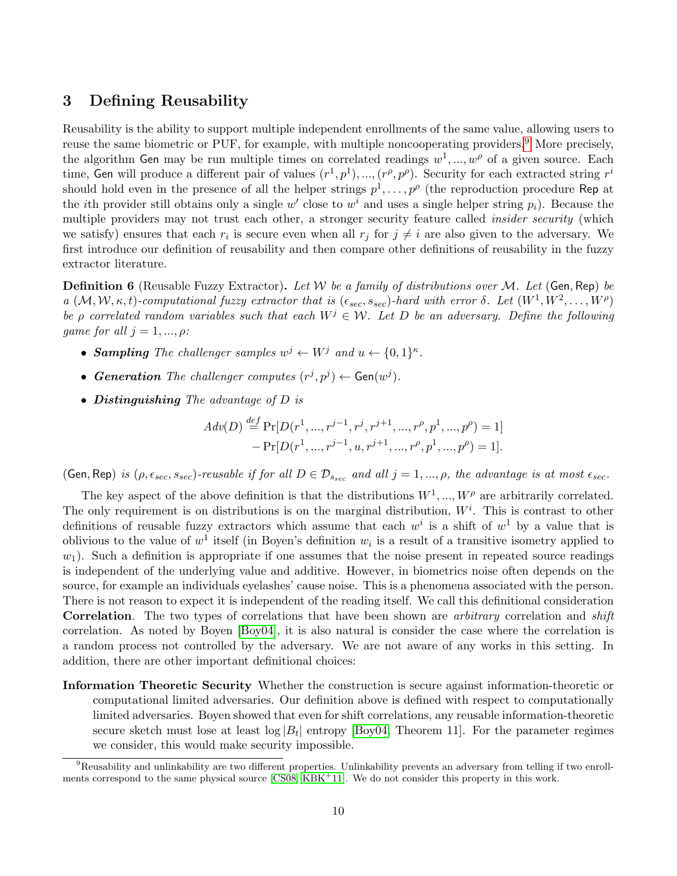### <span id="page-9-0"></span>3 Defining Reusability

Reusability is the ability to support multiple independent enrollments of the same value, allowing users to reuse the same biometric or PUF, for example, with multiple noncooperating providers.<sup>[9](#page-9-1)</sup> More precisely, the algorithm Gen may be run multiple times on correlated readings  $w^1, ..., w^{\rho}$  of a given source. Each time, Gen will produce a different pair of values  $(r^1, p^1), ..., (r^{\rho}, p^{\rho})$ . Security for each extracted string  $r^i$ should hold even in the presence of all the helper strings  $p^1, \ldots, p^{\rho}$  (the reproduction procedure Rep at the *i*th provider still obtains only a single  $w'$  close to  $w^i$  and uses a single helper string  $p_i$ ). Because the multiple providers may not trust each other, a stronger security feature called *insider security* (which we satisfy) ensures that each  $r_i$  is secure even when all  $r_j$  for  $j \neq i$  are also given to the adversary. We first introduce our definition of reusability and then compare other definitions of reusability in the fuzzy extractor literature.

**Definition 6** (Reusable Fuzzy Extractor). Let W be a family of distributions over M. Let (Gen, Rep) be a  $(M, W, \kappa, t)$ -computational fuzzy extractor that is  $(\epsilon_{sec}, s_{sec})$ -hard with error  $\delta$ . Let  $(W^1, W^2, \ldots, W^{\rho})$ be ρ correlated random variables such that each  $W^j \in \mathcal{W}$ . Let D be an adversary. Define the following game for all  $j = 1, ..., \rho$ :

- Sampling The challenger samples  $w^j \leftarrow W^j$  and  $u \leftarrow \{0,1\}^{\kappa}$ .
- Generation The challenger computes  $(r^j, p^j) \leftarrow \text{Gen}(w^j)$ .
- Distinguishing The advantage of D is

$$
Adv(D) \stackrel{def}{=} \Pr[D(r^1, ..., r^{j-1}, r^j, r^{j+1}, ..., r^\rho, p^1, ..., p^\rho) = 1] - \Pr[D(r^1, ..., r^{j-1}, u, r^{j+1}, ..., r^\rho, p^1, ..., p^\rho) = 1].
$$

(Gen, Rep) is  $(\rho, \epsilon_{sec}, s_{sec})$ -reusable if for all  $D \in \mathcal{D}_{s_{sec}}$  and all  $j = 1, ..., \rho$ , the advantage is at most  $\epsilon_{sec}$ .

The key aspect of the above definition is that the distributions  $W^1, ..., W^{\rho}$  are arbitrarily correlated. The only requirement is on distributions is on the marginal distribution,  $W^i$ . This is contrast to other definitions of reusable fuzzy extractors which assume that each  $w^i$  is a shift of  $w^1$  by a value that is oblivious to the value of  $w^1$  itself (in Boyen's definition  $w_i$  is a result of a transitive isometry applied to  $w_1$ ). Such a definition is appropriate if one assumes that the noise present in repeated source readings is independent of the underlying value and additive. However, in biometrics noise often depends on the source, for example an individuals eyelashes' cause noise. This is a phenomena associated with the person. There is not reason to expect it is independent of the reading itself. We call this definitional consideration Correlation. The two types of correlations that have been shown are *arbitrary* correlation and *shift* correlation. As noted by Boyen [\[Boy04\]](#page-25-2), it is also natural is consider the case where the correlation is a random process not controlled by the adversary. We are not aware of any works in this setting. In addition, there are other important definitional choices:

Information Theoretic Security Whether the construction is secure against information-theoretic or computational limited adversaries. Our definition above is defined with respect to computationally limited adversaries. Boyen showed that even for shift correlations, any reusable information-theoretic secure sketch must lose at least  $\log |B_t|$  entropy [\[Boy04,](#page-25-2) Theorem 11]. For the parameter regimes we consider, this would make security impossible.

<span id="page-9-1"></span><sup>&</sup>lt;sup>9</sup>Reusability and unlinkability are two different properties. Unlinkability prevents an adversary from telling if two enroll-ments correspond to the same physical source [\[CS08,](#page-25-13) [KBK](#page-27-12)<sup>+</sup>11]. We do not consider this property in this work.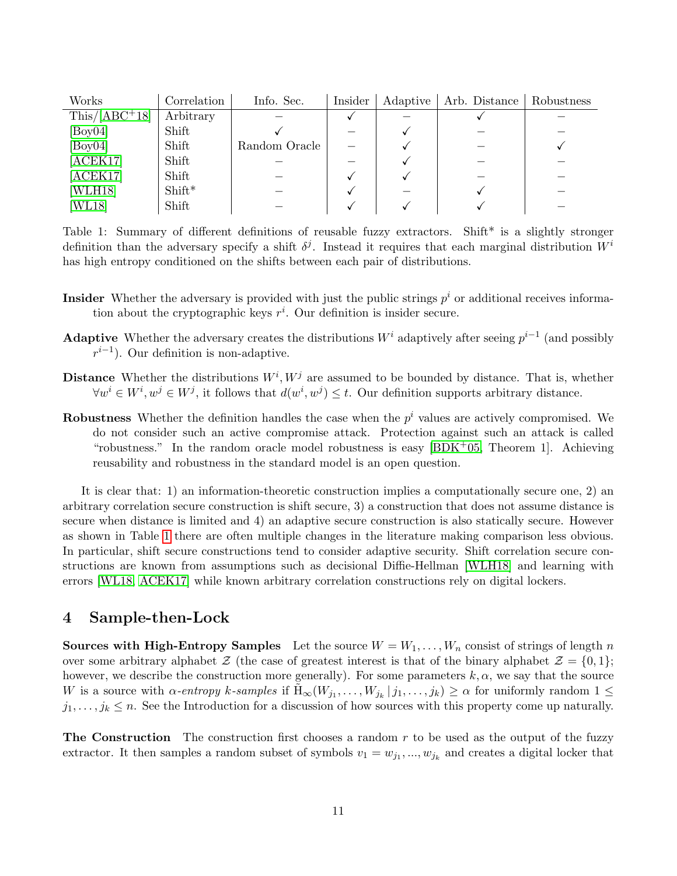| Works           | Correlation | Info. Sec.    | Insider | Adaptive | Arb. Distance | Robustness |
|-----------------|-------------|---------------|---------|----------|---------------|------------|
| $This/[ABC+18]$ | Arbitrary   |               |         |          |               |            |
| [Boy04]         | Shift       |               |         |          |               |            |
| [Boy04]         | Shift       | Random Oracle |         |          |               |            |
| [ACEK17]        | Shift       |               |         |          |               |            |
| [ACEK17]        | Shift       |               |         |          |               |            |
| [WLH18]         | $Shift*$    |               |         |          |               |            |
| [WL18]          | Shift       |               |         |          |               |            |

<span id="page-10-1"></span>Table 1: Summary of different definitions of reusable fuzzy extractors. Shift\* is a slightly stronger definition than the adversary specify a shift  $\delta^j$ . Instead it requires that each marginal distribution  $W^i$ has high entropy conditioned on the shifts between each pair of distributions.

- **Insider** Whether the adversary is provided with just the public strings  $p<sup>i</sup>$  or additional receives information about the cryptographic keys  $r^i$ . Our definition is insider secure.
- Adaptive Whether the adversary creates the distributions  $W^i$  adaptively after seeing  $p^{i-1}$  (and possibly  $r^{i-1}$ ). Our definition is non-adaptive.
- **Distance** Whether the distributions  $W^i, W^j$  are assumed to be bounded by distance. That is, whether  $\forall w^{i} \in W^{i}, w^{j} \in W^{j}$ , it follows that  $d(w^{i}, w^{j}) \leq t$ . Our definition supports arbitrary distance.
- **Robustness** Whether the definition handles the case when the  $p<sup>i</sup>$  values are actively compromised. We do not consider such an active compromise attack. Protection against such an attack is called "robustness." In the random oracle model robustness is easy  $[BDK^+05,$  $[BDK^+05,$  Theorem 1. Achieving reusability and robustness in the standard model is an open question.

It is clear that: 1) an information-theoretic construction implies a computationally secure one, 2) an arbitrary correlation secure construction is shift secure, 3) a construction that does not assume distance is secure when distance is limited and 4) an adaptive secure construction is also statically secure. However as shown in Table [1](#page-10-1) there are often multiple changes in the literature making comparison less obvious. In particular, shift secure constructions tend to consider adaptive security. Shift correlation secure constructions are known from assumptions such as decisional Diffie-Hellman [\[WLH18\]](#page-28-10) and learning with errors [\[WL18,](#page-28-11) [ACEK17\]](#page-24-8) while known arbitrary correlation constructions rely on digital lockers.

### <span id="page-10-0"></span>4 Sample-then-Lock

Sources with High-Entropy Samples Let the source  $W = W_1, \ldots, W_n$  consist of strings of length n over some arbitrary alphabet  $\mathcal{Z}$  (the case of greatest interest is that of the binary alphabet  $\mathcal{Z} = \{0, 1\}$ ; however, we describe the construction more generally). For some parameters  $k, \alpha$ , we say that the source W is a source with  $\alpha$ -entropy k-samples if  $\tilde{H}_{\infty}(W_{j_1},\ldots,W_{j_k} | j_1,\ldots,j_k) \geq \alpha$  for uniformly random  $1 \leq$  $j_1, \ldots, j_k \leq n$ . See the Introduction for a discussion of how sources with this property come up naturally.

**The Construction** The construction first chooses a random  $r$  to be used as the output of the fuzzy extractor. It then samples a random subset of symbols  $v_1 = w_{j_1}, ..., w_{j_k}$  and creates a digital locker that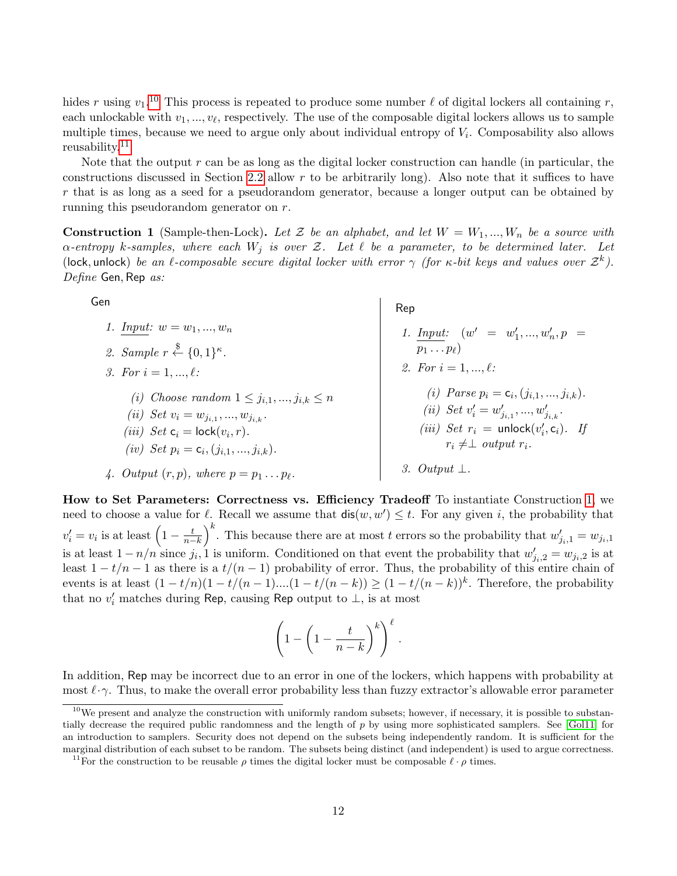hides r using  $v_1$ .<sup>[10](#page-11-1)</sup> This process is repeated to produce some number  $\ell$  of digital lockers all containing r, each unlockable with  $v_1, ..., v_\ell$ , respectively. The use of the composable digital lockers allows us to sample multiple times, because we need to argue only about individual entropy of  $V_i$ . Composability also allows reusability.<sup>[11](#page-11-2)</sup>

Note that the output  $r$  can be as long as the digital locker construction can handle (in particular, the constructions discussed in Section [2.2](#page-6-1) allow r to be arbitrarily long). Also note that it suffices to have  $r$  that is as long as a seed for a pseudorandom generator, because a longer output can be obtained by running this pseudorandom generator on r.

<span id="page-11-0"></span>**Construction 1** (Sample-then-Lock). Let Z be an alphabet, and let  $W = W_1, ..., W_n$  be a source with  $\alpha$ -entropy k-samples, where each  $W_j$  is over Z. Let  $\ell$  be a parameter, to be determined later. Let (lock, unlock) be an  $\ell$ -composable secure digital locker with error  $\gamma$  (for  $\kappa$ -bit keys and values over  $\mathcal{Z}^k$ ). Define Gen, Rep as:

| Gen                                                                                                                                                                                                                 | Rep                                                                                                                                                                                                 |
|---------------------------------------------------------------------------------------------------------------------------------------------------------------------------------------------------------------------|-----------------------------------------------------------------------------------------------------------------------------------------------------------------------------------------------------|
| 1. Input: $w = w_1, , w_n$<br>2. Sample $r \stackrel{\$}{\leftarrow} \{0,1\}^{\kappa}$ .                                                                                                                            | 1. Input: $(w' = w'_1, , w'_n, p =$<br>$p_1 \ldots p_\ell$                                                                                                                                          |
| 3. For $i = 1, , \ell$ :                                                                                                                                                                                            | 2. For $i = 1, , \ell$ :                                                                                                                                                                            |
| (i) Choose random $1 \leq j_{i,1},,j_{i,k} \leq n$<br>( <i>ii</i> ) Set $v_i = w_{j_{i,1}}, , w_{j_{i,k}}$ .<br>( <i>iii</i> ) Set $c_i = \text{lock}(v_i, r)$ .<br>(iv) Set $p_i = c_i$ , $(j_{i,1}, , j_{i,k})$ . | ( <i>i</i> ) Parse $p_i = c_i$ , $(j_{i,1}, , j_{i,k})$ .<br>(ii) Set $v'_i = w'_{i+1}, , w'_{i+k}$ .<br>( <i>iii</i> ) Set $r_i$ = unlock( $v'_i$ , $c_i$ ). If<br>$r_i \neq \perp$ output $r_i$ . |
| 4. Output $(r, p)$ , where $p = p_1 \dots p_\ell$ .                                                                                                                                                                 | Output $\perp$ .                                                                                                                                                                                    |

How to Set Parameters: Correctness vs. Efficiency Tradeoff To instantiate Construction [1,](#page-11-0) we need to choose a value for  $\ell$ . Recall we assume that  $\text{dis}(w, w') \leq t$ . For any given i, the probability that  $v'_i = v_i$  is at least  $\left(1 - \frac{t}{n-k}\right)^k$ . This because there are at most t errors so the probability that  $w'_{j_i,1} = w_{j_i,1}$ is at least  $1 - n/n$  since  $j_i$ , 1 is uniform. Conditioned on that event the probability that  $w'_{j_i,2} = w_{j_i,2}$  is at least  $1 - t/n - 1$  as there is a  $t/(n - 1)$  probability of error. Thus, the probability of this entire chain of events is at least  $(1-t/n)(1-t/(n-1)...(1-t/(n-k)) \ge (1-t/(n-k))^k$ . Therefore, the probability that no  $v_i'$  matches during Rep, causing Rep output to  $\bot$ , is at most

$$
\left(1-\left(1-\frac{t}{n-k}\right)^k\right)^{\ell}.
$$

In addition, Rep may be incorrect due to an error in one of the lockers, which happens with probability at most  $\ell \cdot \gamma$ . Thus, to make the overall error probability less than fuzzy extractor's allowable error parameter

<span id="page-11-1"></span> $10$ We present and analyze the construction with uniformly random subsets; however, if necessary, it is possible to substantially decrease the required public randomness and the length of  $p$  by using more sophisticated samplers. See [\[Gol11\]](#page-26-11) for an introduction to samplers. Security does not depend on the subsets being independently random. It is sufficient for the marginal distribution of each subset to be random. The subsets being distinct (and independent) is used to argue correctness.

<span id="page-11-2"></span><sup>&</sup>lt;sup>11</sup>For the construction to be reusable  $\rho$  times the digital locker must be composable  $\ell \cdot \rho$  times.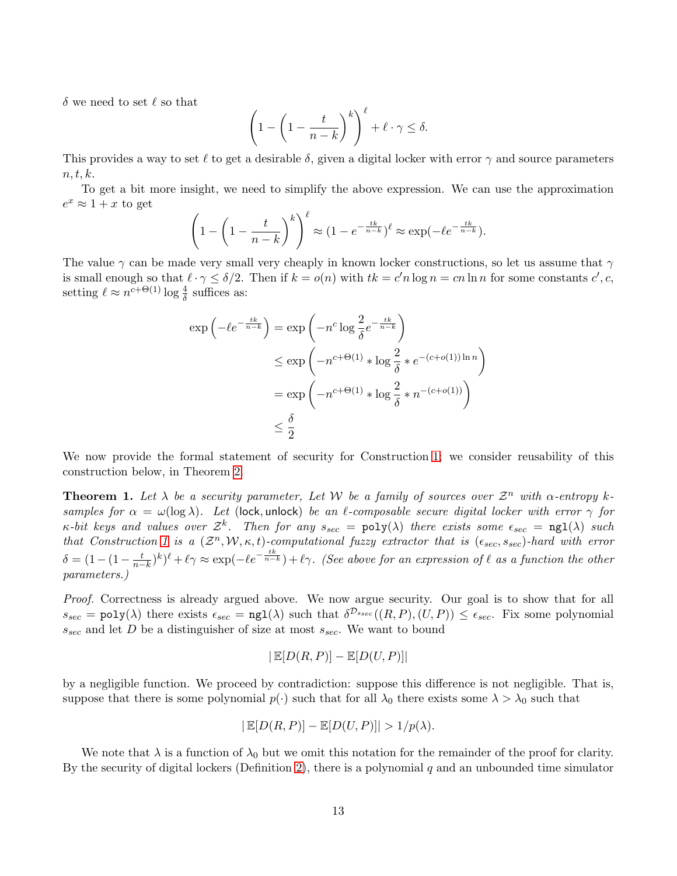$\delta$  we need to set  $\ell$  so that

$$
\left(1 - \left(1 - \frac{t}{n-k}\right)^k\right)^{\ell} + \ell \cdot \gamma \le \delta.
$$

This provides a way to set  $\ell$  to get a desirable  $\delta$ , given a digital locker with error  $\gamma$  and source parameters  $n, t, k.$ 

To get a bit more insight, we need to simplify the above expression. We can use the approximation  $e^x \approx 1 + x$  to get

$$
\left(1 - \left(1 - \frac{t}{n-k}\right)^k\right)^{\ell} \approx \left(1 - e^{-\frac{tk}{n-k}}\right)^{\ell} \approx \exp(-\ell e^{-\frac{tk}{n-k}}).
$$

The value  $\gamma$  can be made very small very cheaply in known locker constructions, so let us assume that  $\gamma$ is small enough so that  $\ell \cdot \gamma \leq \delta/2$ . Then if  $k = o(n)$  with  $tk = c'n \log n = cn \ln n$  for some constants  $c', c$ , setting  $\ell \approx n^{c+\Theta(1)} \log \frac{4}{\delta}$  suffices as:

$$
\exp\left(-\ell e^{-\frac{tk}{n-k}}\right) = \exp\left(-n^c \log \frac{2}{\delta} e^{-\frac{tk}{n-k}}\right)
$$
  

$$
\leq \exp\left(-n^{c+\Theta(1)} * \log \frac{2}{\delta} * e^{-(c+o(1))\ln n}\right)
$$
  

$$
= \exp\left(-n^{c+\Theta(1)} * \log \frac{2}{\delta} * n^{-(c+o(1))}\right)
$$
  

$$
\leq \frac{\delta}{2}
$$

We now provide the formal statement of security for Construction [1;](#page-11-0) we consider reusability of this construction below, in Theorem [2.](#page-13-0)

<span id="page-12-0"></span>**Theorem 1.** Let  $\lambda$  be a security parameter, Let W be a family of sources over  $\mathcal{Z}^n$  with  $\alpha$ -entropy ksamples for  $\alpha = \omega(\log \lambda)$ . Let (lock, unlock) be an  $\ell$ -composable secure digital locker with error  $\gamma$  for  $\kappa$ -bit keys and values over  $\mathcal{Z}^k$ . Then for any  $s_{sec} = \text{poly}(\lambda)$  there exists some  $\epsilon_{sec} = \text{ngl}(\lambda)$  such that Construction [1](#page-11-0) is a  $(\mathcal{Z}^n, \mathcal{W}, \kappa, t)$ -computational fuzzy extractor that is  $(\epsilon_{sec}, s_{sec})$ -hard with error  $\delta = (1 - (1 - \frac{t}{n-k})^k)^{\ell} + \ell \gamma \approx \exp(-\ell e^{-\frac{tk}{n-k}}) + \ell \gamma$ . (See above for an expression of  $\ell$  as a function the other parameters.)

Proof. Correctness is already argued above. We now argue security. Our goal is to show that for all  $s_{sec} = \text{poly}(\lambda)$  there exists  $\epsilon_{sec} = \text{ngl}(\lambda)$  such that  $\delta^{\mathcal{D}_{ssec}}((R, P), (U, P)) \leq \epsilon_{sec}$ . Fix some polynomial  $s_{sec}$  and let D be a distinguisher of size at most  $s_{sec}$ . We want to bound

$$
|\mathbb{E}[D(R, P)] - \mathbb{E}[D(U, P)]|
$$

by a negligible function. We proceed by contradiction: suppose this difference is not negligible. That is, suppose that there is some polynomial  $p(\cdot)$  such that for all  $\lambda_0$  there exists some  $\lambda > \lambda_0$  such that

$$
|\mathbb{E}[D(R, P)] - \mathbb{E}[D(U, P)]| > 1/p(\lambda).
$$

We note that  $\lambda$  is a function of  $\lambda_0$  but we omit this notation for the remainder of the proof for clarity. By the security of digital lockers (Definition [2\)](#page-7-0), there is a polynomial q and an unbounded time simulator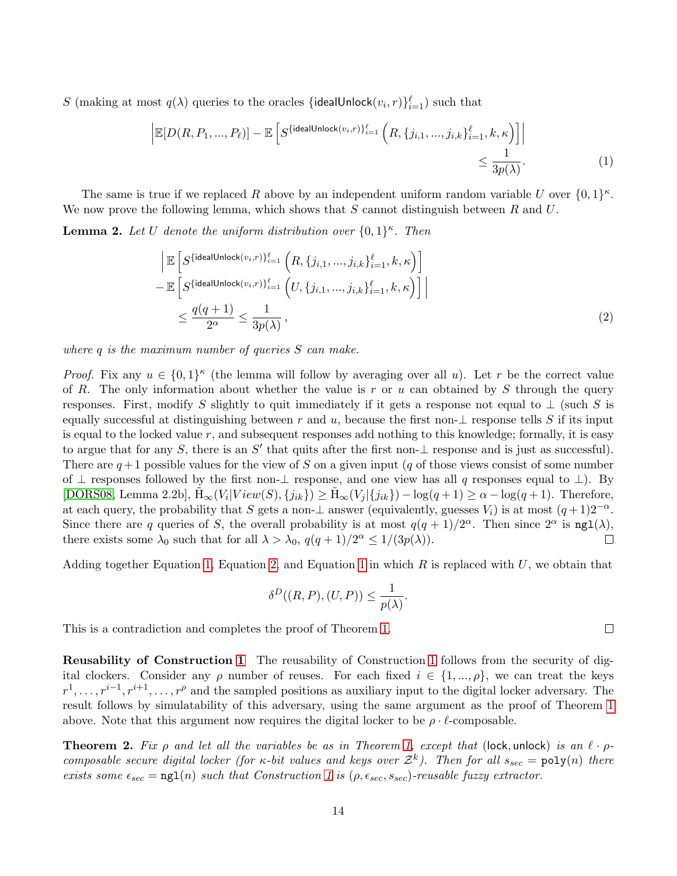S (making at most  $q(\lambda)$  queries to the oracles {idealUnlock $(v_i, r) \}_{i=1}^{\ell}$ ) such that

<span id="page-13-1"></span>
$$
\left| \mathbb{E}[D(R, P_1, \dots, P_\ell)] - \mathbb{E}\left[S^{\{\text{idealUnlock}(v_i, r)\}_{i=1}^{\ell}}\left(R, \{j_{i,1}, \dots, j_{i,k}\}_{i=1}^{\ell}, k, \kappa\right)\right] \right|
$$
  

$$
\leq \frac{1}{3p(\lambda)}.
$$
 (1)

The same is true if we replaced R above by an independent uniform random variable U over  $\{0,1\}^{\kappa}$ . We now prove the following lemma, which shows that S cannot distinguish between R and U.

**Lemma 2.** Let U denote the uniform distribution over  $\{0,1\}^{\kappa}$ . Then

$$
\begin{aligned}\n&\left|\mathbb{E}\left[S^{\{\text{idealUnlock}(v_i,r)\}_{i=1}^{\ell}}\left(R,\{j_{i,1},\ldots,j_{i,k}\}_{i=1}^{\ell},k,\kappa\right)\right]\right. \\
&\left.-\mathbb{E}\left[S^{\{\text{idealUnlock}(v_i,r)\}_{i=1}^{\ell}}\left(U,\{j_{i,1},\ldots,j_{i,k}\}_{i=1}^{\ell},k,\kappa\right)\right]\right| \\
&\leq \frac{q(q+1)}{2^{\alpha}} \leq \frac{1}{3p(\lambda)},\n\end{aligned} \tag{2}
$$

where q is the maximum number of queries S can make.

*Proof.* Fix any  $u \in \{0,1\}^{\kappa}$  (the lemma will follow by averaging over all u). Let r be the correct value of R. The only information about whether the value is r or u can obtained by S through the query responses. First, modify S slightly to quit immediately if it gets a response not equal to  $\perp$  (such S is equally successful at distinguishing between r and u, because the first non- $\perp$  response tells S if its input is equal to the locked value  $r$ , and subsequent responses add nothing to this knowledge; formally, it is easy to argue that for any S, there is an S' that quits after the first non- $\perp$  response and is just as successful). There are  $q+1$  possible values for the view of S on a given input (q of those views consist of some number of ⊥ responses followed by the first non-⊥ response, and one view has all q responses equal to ⊥). By [\[DORS08,](#page-26-2) Lemma 2.2b],  $\tilde{H}_{\infty}(V_i|View(S), \{j_{ik}\}) \geq \tilde{H}_{\infty}(V_j|\{j_{ik}\}) - \log(q+1) \geq \alpha - \log(q+1)$ . Therefore, at each query, the probability that S gets a non- $\perp$  answer (equivalently, guesses  $V_i$ ) is at most  $(q+1)2^{-\alpha}$ . Since there are q queries of S, the overall probability is at most  $q(q+1)/2^{\alpha}$ . Then since  $2^{\alpha}$  is  $\text{ng1}(\lambda)$ , there exists some  $\lambda_0$  such that for all  $\lambda > \lambda_0$ ,  $q(q+1)/2^{\alpha} \leq 1/(3p(\lambda)).$  $\Box$ 

Adding together Equation [1,](#page-13-1) Equation [2,](#page-13-2) and Equation [1](#page-13-1) in which R is replaced with  $U$ , we obtain that

<span id="page-13-2"></span>
$$
\delta^D((R,P),(U,P)) \le \frac{1}{p(\lambda)}.
$$

This is a contradiction and completes the proof of Theorem [1.](#page-12-0)

Reusability of Construction [1](#page-11-0) The reusability of Construction [1](#page-11-0) follows from the security of digital clockers. Consider any  $\rho$  number of reuses. For each fixed  $i \in \{1, ..., \rho\}$ , we can treat the keys  $r^1, \ldots, r^{i-1}, r^{i+1}, \ldots, r^{\rho}$  and the sampled positions as auxiliary input to the digital locker adversary. The result follows by simulatability of this adversary, using the same argument as the proof of Theorem [1](#page-12-0) above. Note that this argument now requires the digital locker to be  $\rho \cdot \ell$ -composable.

<span id="page-13-0"></span>**Theorem 2.** Fix  $\rho$  and let all the variables be as in Theorem [1,](#page-12-0) except that (lock, unlock) is an  $\ell \cdot \rho$ composable secure digital locker (for  $\kappa$ -bit values and keys over  $\mathcal{Z}^k$ ). Then for all  $s_{sec} = \text{poly}(n)$  there exists some  $\epsilon_{sec} = \text{ng1}(n)$  such that Construction [1](#page-11-0) is  $(\rho, \epsilon_{sec}, s_{sec})$ -reusable fuzzy extractor.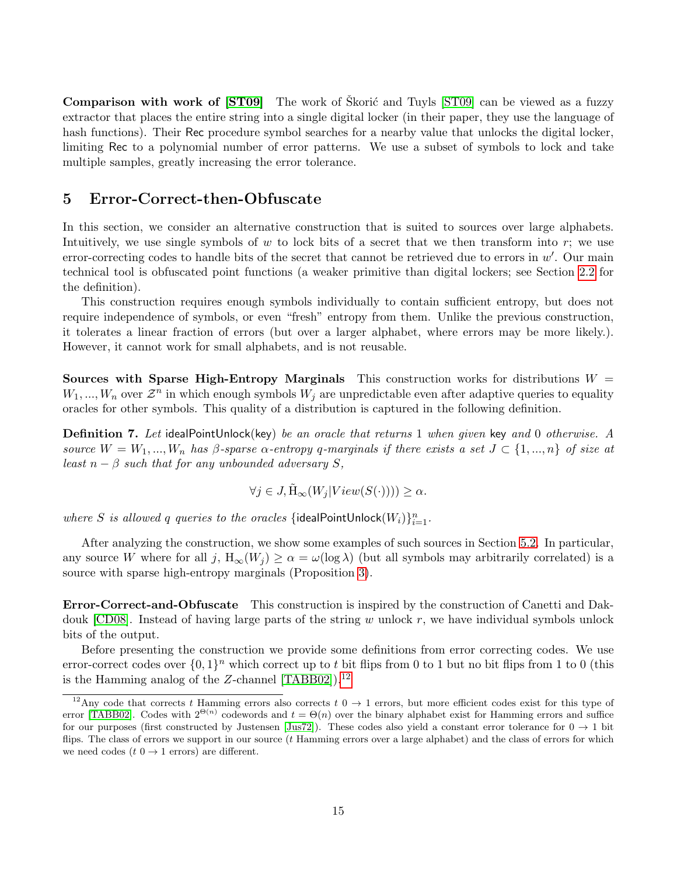Comparison with work of [\[ST09\]](#page-28-13) The work of Skorić and Tuyls [ST09] can be viewed as a fuzzy extractor that places the entire string into a single digital locker (in their paper, they use the language of hash functions). Their Rec procedure symbol searches for a nearby value that unlocks the digital locker, limiting Rec to a polynomial number of error patterns. We use a subset of symbols to lock and take multiple samples, greatly increasing the error tolerance.

#### 5 Error-Correct-then-Obfuscate

In this section, we consider an alternative construction that is suited to sources over large alphabets. Intuitively, we use single symbols of  $w$  to lock bits of a secret that we then transform into  $r$ ; we use error-correcting codes to handle bits of the secret that cannot be retrieved due to errors in  $w'$ . Our main technical tool is obfuscated point functions (a weaker primitive than digital lockers; see Section [2.2](#page-6-1) for the definition).

This construction requires enough symbols individually to contain sufficient entropy, but does not require independence of symbols, or even "fresh" entropy from them. Unlike the previous construction, it tolerates a linear fraction of errors (but over a larger alphabet, where errors may be more likely.). However, it cannot work for small alphabets, and is not reusable.

**Sources with Sparse High-Entropy Marginals** This construction works for distributions  $W =$  $W_1, ..., W_n$  over  $\mathcal{Z}^n$  in which enough symbols  $W_j$  are unpredictable even after adaptive queries to equality oracles for other symbols. This quality of a distribution is captured in the following definition.

<span id="page-14-1"></span>**Definition 7.** Let idealPointUnlock(key) be an oracle that returns 1 when given key and 0 otherwise. A source  $W = W_1, ..., W_n$  has β-sparse  $\alpha$ -entropy q-marginals if there exists a set  $J \subset \{1, ..., n\}$  of size at least  $n - \beta$  such that for any unbounded adversary S,

$$
\forall j \in J, \tilde{H}_{\infty}(W_j|View(S(\cdot))) \ge \alpha.
$$

where S is allowed q queries to the oracles {idealPointUnlock $(W_i) \}_{i=1}^n$ .

After analyzing the construction, we show some examples of such sources in Section [5.2.](#page-18-0) In particular, any source W where for all j,  $H_{\infty}(W_i) \ge \alpha = \omega(\log \lambda)$  (but all symbols may arbitrarily correlated) is a source with sparse high-entropy marginals (Proposition [3\)](#page-19-0).

Error-Correct-and-Obfuscate This construction is inspired by the construction of Canetti and Dakdouk  $[CD08]$ . Instead of having large parts of the string w unlock r, we have individual symbols unlock bits of the output.

Before presenting the construction we provide some definitions from error correcting codes. We use error-correct codes over  $\{0,1\}^n$  which correct up to t bit flips from 0 to 1 but no bit flips from 1 to 0 (this is the Hamming analog of the Z-channel  $[TABB02]$ .<sup>[12](#page-14-0)</sup>

<span id="page-14-0"></span><sup>&</sup>lt;sup>12</sup>Any code that corrects t Hamming errors also corrects t  $0 \rightarrow 1$  errors, but more efficient codes exist for this type of error [\[TABB02\]](#page-28-14). Codes with  $2^{\Theta(n)}$  codewords and  $t = \Theta(n)$  over the binary alphabet exist for Hamming errors and suffice for our purposes (first constructed by Justensen [\[Jus72\]](#page-27-13)). These codes also yield a constant error tolerance for  $0 \to 1$  bit flips. The class of errors we support in our source (t Hamming errors over a large alphabet) and the class of errors for which we need codes  $(t \ 0 \rightarrow 1 \text{ errors})$  are different.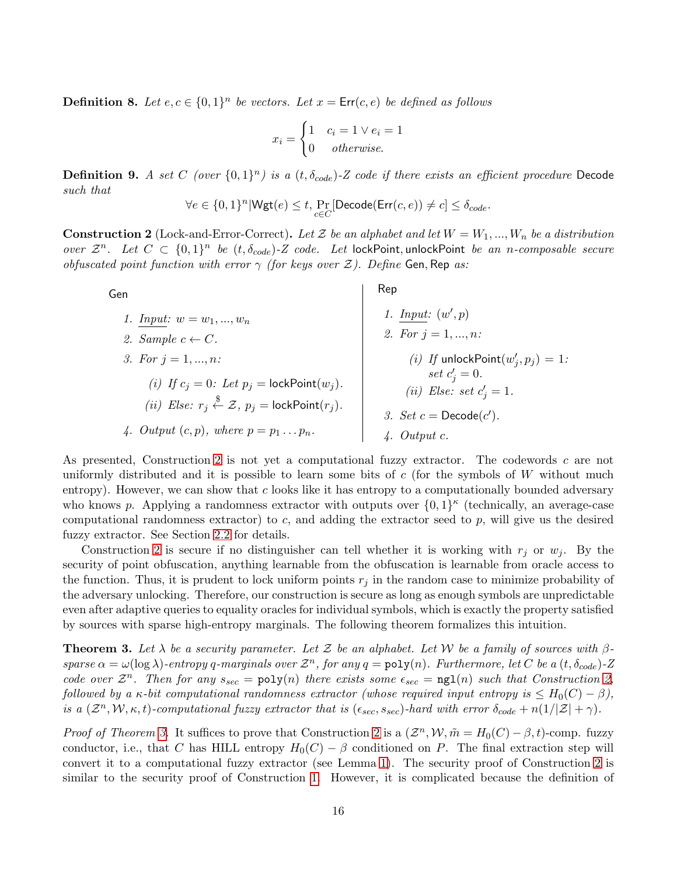**Definition 8.** Let  $e, c \in \{0, 1\}^n$  be vectors. Let  $x = \text{Err}(c, e)$  be defined as follows

$$
x_i = \begin{cases} 1 & c_i = 1 \lor e_i = 1 \\ 0 & \text{otherwise.} \end{cases}
$$

**Definition 9.** A set C (over  $\{0,1\}^n$ ) is a  $(t, \delta_{code})$ -Z code if there exists an efficient procedure Decode such that

$$
\forall e \in \{0,1\}^n | {\sf Wgt}(e) \leq t, \Pr_{c \in C} [{\sf Decode}({\sf Err}(c,e)) \neq c] \leq \delta_{code}.
$$

<span id="page-15-0"></span>**Construction 2** (Lock-and-Error-Correct). Let Z be an alphabet and let  $W = W_1, ..., W_n$  be a distribution over  $\mathcal{Z}^n$ . Let  $C \subset \{0,1\}^n$  be  $(t, \delta_{code})$ -Z code. Let lockPoint, unlockPoint be an n-composable secure obfuscated point function with error  $\gamma$  (for keys over  $\mathcal{Z}$ ). Define Gen, Rep as:

Gen 1. Input:  $w = w_1, ..., w_n$ 2. Sample  $c \leftarrow C$ . 3. For  $j = 1, ..., n$ : (i) If  $c_j = 0$ : Let  $p_j = \text{lockPoint}(w_j)$ . (*ii*) Else:  $r_j \overset{\$}{\leftarrow} \mathcal{Z}$ ,  $p_j = \text{lockPoint}(r_j)$ . 4. Output  $(c, p)$ , where  $p = p_1 \dots p_n$ . Rep 1. Input:  $(w', p)$ 2. For  $j = 1, ..., n$ : (*i*) If unlockPoint $(w'_j, p_j) = 1$ : set  $c'_j = 0$ . (*ii*) Else: set  $c'_j = 1$ . 3. Set  $c = \text{Decode}(c')$ . 4. Output c.

As presented, Construction [2](#page-15-0) is not yet a computational fuzzy extractor. The codewords c are not uniformly distributed and it is possible to learn some bits of  $c$  (for the symbols of W without much entropy). However, we can show that c looks like it has entropy to a computationally bounded adversary who knows p. Applying a randomness extractor with outputs over  $\{0,1\}^{\kappa}$  (technically, an average-case computational randomness extractor) to c, and adding the extractor seed to p, will give us the desired fuzzy extractor. See Section [2.2](#page-6-1) for details.

Construction [2](#page-15-0) is secure if no distinguisher can tell whether it is working with  $r_i$  or  $w_j$ . By the security of point obfuscation, anything learnable from the obfuscation is learnable from oracle access to the function. Thus, it is prudent to lock uniform points  $r_j$  in the random case to minimize probability of the adversary unlocking. Therefore, our construction is secure as long as enough symbols are unpredictable even after adaptive queries to equality oracles for individual symbols, which is exactly the property satisfied by sources with sparse high-entropy marginals. The following theorem formalizes this intuition.

<span id="page-15-1"></span>**Theorem 3.** Let  $\lambda$  be a security parameter. Let  $\mathcal Z$  be an alphabet. Let W be a family of sources with  $\beta$ sparse  $\alpha = \omega(\log \lambda)$ -entropy q-marginals over  $\mathcal{Z}^n$ , for any  $q = \text{poly}(n)$ . Furthermore, let C be a  $(t, \delta_{code})$ -Z code over  $\mathcal{Z}^n$ . Then for any  $s_{sec} = \text{poly}(n)$  there exists some  $\epsilon_{sec} = \text{ngl}(n)$  such that Construction [2,](#page-15-0) followed by a κ-bit computational randomness extractor (whose required input entropy is  $\leq H_0(C) - \beta$ ), is a  $(\mathcal{Z}^n, \mathcal{W}, \kappa, t)$ -computational fuzzy extractor that is  $(\epsilon_{sec}, s_{sec})$ -hard with error  $\delta_{code} + n(1/|\mathcal{Z}| + \gamma)$ .

*Proof of Theorem [3.](#page-15-1)* It suffices to prove that Construction [2](#page-15-0) is a  $(\mathcal{Z}^n, \mathcal{W}, \tilde{m} = H_0(C) - \beta, t)$ -comp. fuzzy conductor, i.e., that C has HILL entropy  $H_0(C) - \beta$  conditioned on P. The final extraction step will convert it to a computational fuzzy extractor (see Lemma [1\)](#page-8-0). The security proof of Construction [2](#page-15-0) is similar to the security proof of Construction [1.](#page-11-0) However, it is complicated because the definition of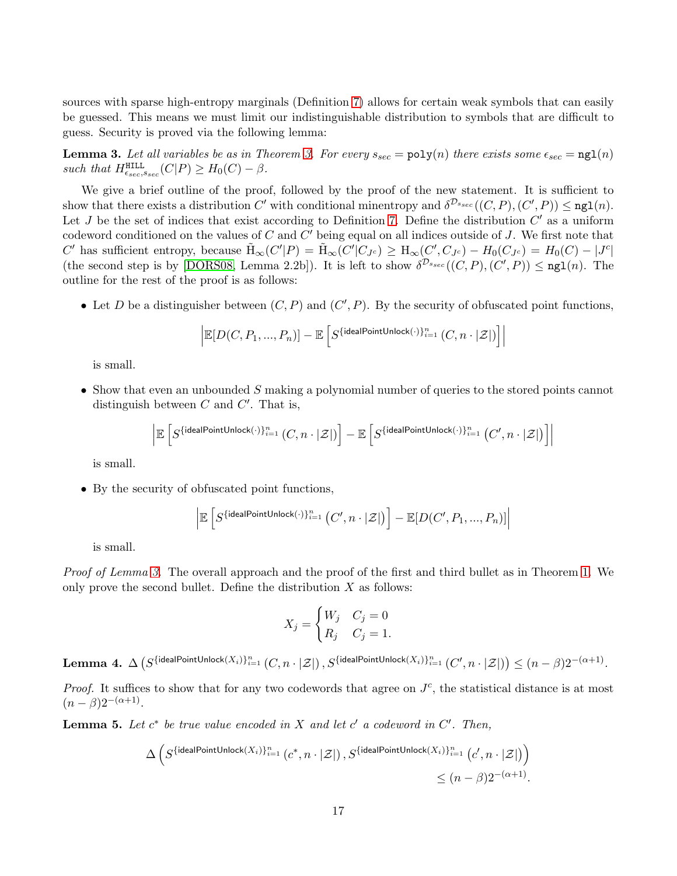sources with sparse high-entropy marginals (Definition [7\)](#page-14-1) allows for certain weak symbols that can easily be guessed. This means we must limit our indistinguishable distribution to symbols that are difficult to guess. Security is proved via the following lemma:

<span id="page-16-0"></span>**Lemma [3.](#page-15-1)** Let all variables be as in Theorem 3. For every  $s_{sec} = \text{poly}(n)$  there exists some  $\epsilon_{sec} = \text{ngl}(n)$ such that  $H_{\epsilon_{sec},s_{sec}}^{\text{HILL}}(C|P) \geq H_0(C) - \beta$ .

We give a brief outline of the proof, followed by the proof of the new statement. It is sufficient to show that there exists a distribution C' with conditional minentropy and  $\delta^{D_{ssec}}((C, P), (C', P)) \leq \texttt{ngl}(n)$ . Let J be the set of indices that exist according to Definition [7.](#page-14-1) Define the distribution  $C'$  as a uniform codeword conditioned on the values of  $C$  and  $C'$  being equal on all indices outside of  $J$ . We first note that  $C'$  has sufficient entropy, because  $\tilde{H}_{\infty}(C'|P) = \tilde{H}_{\infty}(C'|C_{J^c}) \geq H_{\infty}(C', C_{J^c}) - H_0(C_{J^c}) = H_0(C) - |J^c|$ (the second step is by [\[DORS08,](#page-26-2) Lemma 2.2b]). It is left to show  $\delta^{D_{s_{sec}}}((C, P), (C', P)) \leq \texttt{ngl}(n)$ . The outline for the rest of the proof is as follows:

• Let D be a distinguisher between  $(C, P)$  and  $(C', P)$ . By the security of obfuscated point functions,

$$
\Big| \mathbb{E}[D(C, P_1, ..., P_n)] - \mathbb{E}\left[S^{\{\text{idealPointUnlock}(\cdot)\}_{i=1}^n} (C, n \cdot |\mathcal{Z}|) \right] \Big|
$$

is small.

• Show that even an unbounded S making a polynomial number of queries to the stored points cannot distinguish between  $C$  and  $C'$ . That is,

$$
\left| \mathbb{E}\left[S^{\{\text{idealPointUnlock}(\cdot)\}_{i=1}^n}\left(C,n\cdot|\mathcal{Z}|\right)\right] - \mathbb{E}\left[S^{\{\text{idealPointUnlock}(\cdot)\}_{i=1}^n}\left(C',n\cdot|\mathcal{Z}|\right)\right] \right|
$$

is small.

• By the security of obfuscated point functions,

$$
\left| \mathbb{E}\left[S^{\{\text{idealPointUnlock}(\cdot)\}_{i=1}^n}\left(C', n\cdot|\mathcal{Z}|\right)\right] - \mathbb{E}[D(C', P_1, ..., P_n)] \right|
$$

is small.

Proof of Lemma [3.](#page-16-0) The overall approach and the proof of the first and third bullet as in Theorem [1.](#page-12-0) We only prove the second bullet. Define the distribution  $X$  as follows:

$$
X_j = \begin{cases} W_j & C_j = 0 \\ R_j & C_j = 1. \end{cases}
$$

<span id="page-16-2"></span> $\textbf{Lemma 4. } \Delta\left( S^{\{\textsf{idealPointUnlock}(X_i)\}_{i=1}^n}\left(C, n\cdot |\mathcal{Z}|\right), S^{\{\textsf{idealPointUnlock}(X_i)\}_{i=1}^n}\left(C', n\cdot |\mathcal{Z}|\right)\right) \leq (n-\beta)2^{-(\alpha+1)}.$ 

*Proof.* It suffices to show that for any two codewords that agree on  $J<sup>c</sup>$ , the statistical distance is at most  $(n - \beta)2^{-(\alpha+1)}$ .

<span id="page-16-1"></span>**Lemma 5.** Let  $c^*$  be true value encoded in X and let  $c'$  a codeword in  $C'$ . Then,

$$
\Delta\left(S^{\{\text{idealPointUnlock}(X_i)\}_{i=1}^n} \left(c^*, n \cdot |\mathcal{Z}|\right), S^{\{\text{idealPointUnlock}(X_i)\}_{i=1}^n} \left(c', n \cdot |\mathcal{Z}|\right)\right) \le (n-\beta)2^{-(\alpha+1)}.
$$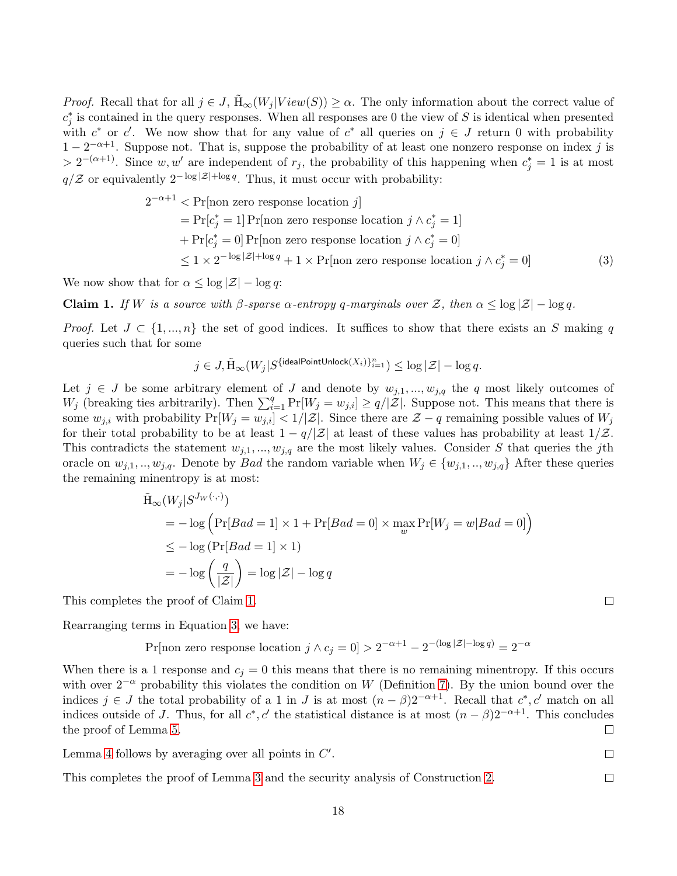*Proof.* Recall that for all  $j \in J$ ,  $H_{\infty}(W_j | View(S)) \ge \alpha$ . The only information about the correct value of  $c_j^*$  is contained in the query responses. When all responses are 0 the view of S is identical when presented with  $c^*$  or  $c'$ . We now show that for any value of  $c^*$  all queries on  $j \in J$  return 0 with probability  $1-2^{-\alpha+1}$ . Suppose not. That is, suppose the probability of at least one nonzero response on index j is >  $2^{-(\alpha+1)}$ . Since w, w' are independent of r<sub>j</sub>, the probability of this happening when  $c_j^* = 1$  is at most  $q/\mathcal{Z}$  or equivalently  $2^{-\log |\mathcal{Z}| + \log q}$ . Thus, it must occur with probability:

$$
2^{-\alpha+1} < \Pr[\text{non zero response location } j] \\
= \Pr[c_j^* = 1] \Pr[\text{non zero response location } j \land c_j^* = 1] \\
+ \Pr[c_j^* = 0] \Pr[\text{non zero response location } j \land c_j^* = 0] \\
\leq 1 \times 2^{-\log |\mathcal{Z}| + \log q} + 1 \times \Pr[\text{non zero response location } j \land c_j^* = 0] \tag{3}
$$

We now show that for  $\alpha \leq \log |\mathcal{Z}| - \log q$ :

<span id="page-17-0"></span>**Claim 1.** If W is a source with  $\beta$ -sparse  $\alpha$ -entropy q-marginals over Z, then  $\alpha \leq \log |\mathcal{Z}| - \log q$ .

*Proof.* Let  $J \subset \{1, ..., n\}$  the set of good indices. It suffices to show that there exists an S making q queries such that for some

$$
j\in J, \tilde{\mathrm{H}}_\infty(W_j|S^{\{\text{idealPointUnlock}(X_i)\}_{i=1}^n})\leq \log |\mathcal{Z}| - \log q.
$$

Let  $j \in J$  be some arbitrary element of J and denote by  $w_{j,1},...,w_{j,q}$  the q most likely outcomes of  $W_j$  (breaking ties arbitrarily). Then  $\sum_{i=1}^q \Pr[W_j = w_{j,i}] \ge q/|\mathcal{Z}|$ . Suppose not. This means that there is some  $w_{j,i}$  with probability  $Pr[W_j = w_{j,i}] < 1/|\mathcal{Z}|$ . Since there are  $\mathcal{Z} - q$  remaining possible values of  $W_j$ for their total probability to be at least  $1 - q/|\mathcal{Z}|$  at least of these values has probability at least  $1/\mathcal{Z}$ . This contradicts the statement  $w_{j,1},...,w_{j,q}$  are the most likely values. Consider S that queries the jth oracle on  $w_{j,1},...,w_{j,q}$ . Denote by *Bad* the random variable when  $W_j \in \{w_{j,1},...,w_{j,q}\}\$  After these queries the remaining minentropy is at most:

$$
\tilde{H}_{\infty}(W_j|S^{J_W(\cdot,\cdot)})
$$
\n
$$
= -\log \left( \Pr[Bad = 1] \times 1 + \Pr[Bad = 0] \times \max_{w} \Pr[W_j = w | Bad = 0] \right)
$$
\n
$$
\leq -\log \left( \Pr[Bad = 1] \times 1 \right)
$$
\n
$$
= -\log \left( \frac{q}{|\mathcal{Z}|} \right) = \log |\mathcal{Z}| - \log q
$$

This completes the proof of Claim [1.](#page-17-0)

Rearranging terms in Equation [3,](#page-17-1) we have:

Pr[non zero response location  $j \wedge c_j = 0$ ] >  $2^{-\alpha+1} - 2^{-(\log|\mathcal{Z}| - \log q)} = 2^{-\alpha}$ 

When there is a 1 response and  $c<sub>i</sub> = 0$  this means that there is no remaining minentropy. If this occurs with over  $2^{-\alpha}$  probability this violates the condition on W (Definition [7\)](#page-14-1). By the union bound over the indices  $j \in J$  the total probability of a 1 in J is at most  $(n - \beta)2^{-\alpha+1}$ . Recall that  $c^*, c'$  match on all indices outside of J. Thus, for all  $c^*, c'$  the statistical distance is at most  $(n - \beta)2^{-\alpha+1}$ . This concludes the proof of Lemma [5.](#page-16-1)  $\Box$ 

Lemma [4](#page-16-2) follows by averaging over all points in  $C'$ .

This completes the proof of Lemma [3](#page-16-0) and the security analysis of Construction [2.](#page-15-0)

<span id="page-17-1"></span> $\Box$ 

 $\Box$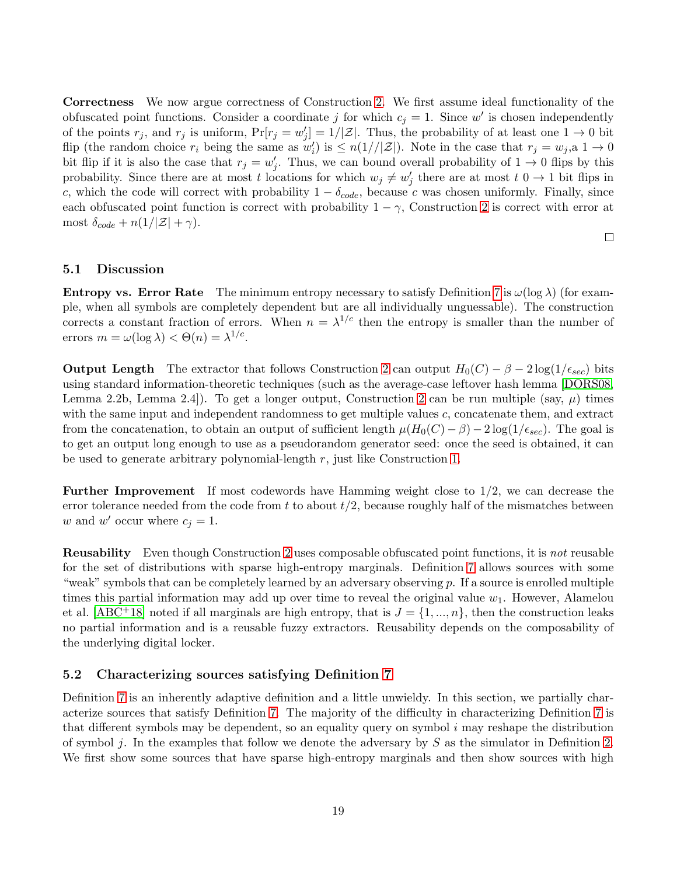Correctness We now argue correctness of Construction [2.](#page-15-0) We first assume ideal functionality of the obfuscated point functions. Consider a coordinate j for which  $c_j = 1$ . Since w' is chosen independently of the points  $r_j$ , and  $r_j$  is uniform,  $Pr[r_j = w'_j] = 1/|\mathcal{Z}|$ . Thus, the probability of at least one  $1 \to 0$  bit flip (the random choice  $r_i$  being the same as  $w'_i$ ) is  $\leq n(1)/|\mathcal{Z}|$ ). Note in the case that  $r_j = w_j$ , a  $1 \to 0$ bit flip if it is also the case that  $r_j = w'_j$ . Thus, we can bound overall probability of  $1 \to 0$  flips by this probability. Since there are at most t locations for which  $w_j \neq w'_j$  there are at most  $t \neq 0 \rightarrow 1$  bit flips in c, which the code will correct with probability  $1 - \delta_{code}$ , because c was chosen uniformly. Finally, since each obfuscated point function is correct with probability  $1 - \gamma$ , Construction [2](#page-15-0) is correct with error at most  $\delta_{code} + n(1/|\mathcal{Z}| + \gamma)$ .

 $\Box$ 

#### 5.1 Discussion

**Entropy vs. Error Rate** The minimum entropy necessary to satisfy Definition [7](#page-14-1) is  $\omega(\log \lambda)$  (for example, when all symbols are completely dependent but are all individually unguessable). The construction corrects a constant fraction of errors. When  $n = \lambda^{1/c}$  then the entropy is smaller than the number of errors  $m = \omega(\log \lambda) < \Theta(n) = \lambda^{1/c}$ .

**Output Length** The extractor that follows Construction [2](#page-15-0) can output  $H_0(C) - \beta - 2 \log(1/\epsilon_{sec})$  bits using standard information-theoretic techniques (such as the average-case leftover hash lemma [\[DORS08,](#page-26-2) Lemma [2](#page-15-0).2b, Lemma 2.4.]). To get a longer output, Construction 2 can be run multiple (say,  $\mu$ ) times with the same input and independent randomness to get multiple values  $c$ , concatenate them, and extract from the concatenation, to obtain an output of sufficient length  $\mu(H_0(C) - \beta) - 2 \log(1/\epsilon_{sec})$ . The goal is to get an output long enough to use as a pseudorandom generator seed: once the seed is obtained, it can be used to generate arbitrary polynomial-length  $r$ , just like Construction [1.](#page-11-0)

**Further Improvement** If most codewords have Hamming weight close to  $1/2$ , we can decrease the error tolerance needed from the code from t to about  $t/2$ , because roughly half of the mismatches between w and w' occur where  $c_j = 1$ .

Reusability Even though Construction [2](#page-15-0) uses composable obfuscated point functions, it is not reusable for the set of distributions with sparse high-entropy marginals. Definition [7](#page-14-1) allows sources with some "weak" symbols that can be completely learned by an adversary observing  $p$ . If a source is enrolled multiple times this partial information may add up over time to reveal the original value  $w_1$ . However, Alamelou et al. [\[ABC](#page-24-9)<sup>+</sup>18] noted if all marginals are high entropy, that is  $J = \{1, ..., n\}$ , then the construction leaks no partial information and is a reusable fuzzy extractors. Reusability depends on the composability of the underlying digital locker.

#### <span id="page-18-0"></span>5.2 Characterizing sources satisfying Definition [7](#page-14-1)

Definition [7](#page-14-1) is an inherently adaptive definition and a little unwieldy. In this section, we partially characterize sources that satisfy Definition [7.](#page-14-1) The majority of the difficulty in characterizing Definition [7](#page-14-1) is that different symbols may be dependent, so an equality query on symbol  $i$  may reshape the distribution of symbol j. In the examples that follow we denote the adversary by  $S$  as the simulator in Definition [2.](#page-7-0) We first show some sources that have sparse high-entropy marginals and then show sources with high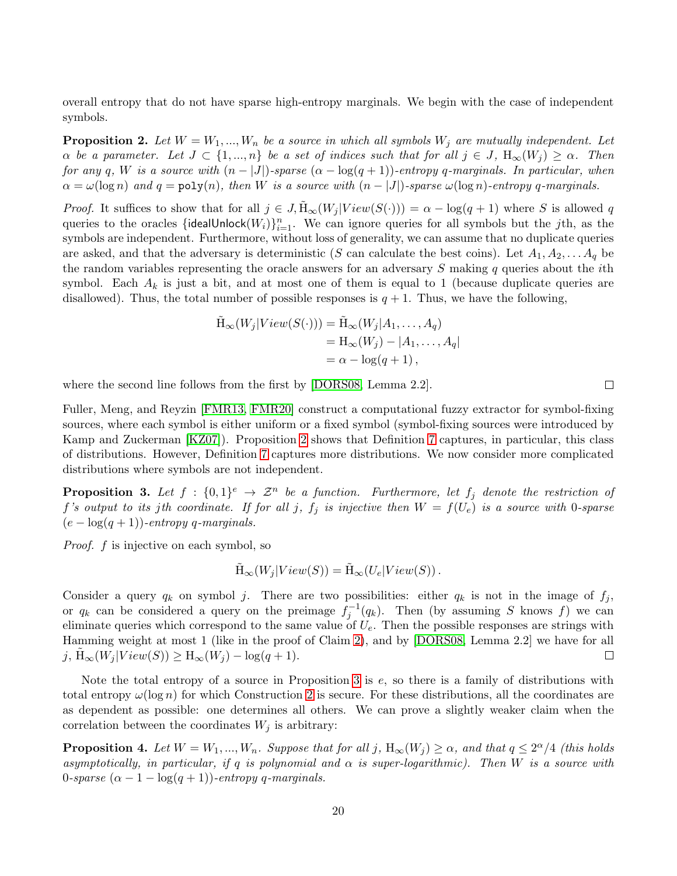overall entropy that do not have sparse high-entropy marginals. We begin with the case of independent symbols.

<span id="page-19-1"></span>**Proposition 2.** Let  $W = W_1, ..., W_n$  be a source in which all symbols  $W_j$  are mutually independent. Let  $\alpha$  be a parameter. Let  $J \subset \{1, ..., n\}$  be a set of indices such that for all  $j \in J$ ,  $H_{\infty}(W_j) \geq \alpha$ . Then for any q, W is a source with  $(n - |J|)$ -sparse  $(\alpha - \log(q + 1))$ -entropy q-marginals. In particular, when  $\alpha = \omega(\log n)$  and  $q = \text{poly}(n)$ , then W is a source with  $(n - |J|)$ -sparse  $\omega(\log n)$ -entropy q-marginals.

*Proof.* It suffices to show that for all  $j \in J$ ,  $\tilde{H}_{\infty}(W_j | View(S(\cdot))) = \alpha - \log(q+1)$  where S is allowed q queries to the oracles  $\{\text{idealUnlock}(W_i)\}_{i=1}^n$ . We can ignore queries for all symbols but the jth, as the symbols are independent. Furthermore, without loss of generality, we can assume that no duplicate queries are asked, and that the adversary is deterministic (S can calculate the best coins). Let  $A_1, A_2, \ldots, A_q$  be the random variables representing the oracle answers for an adversary  $S$  making  $q$  queries about the *i*th symbol. Each  $A_k$  is just a bit, and at most one of them is equal to 1 (because duplicate queries are disallowed). Thus, the total number of possible responses is  $q + 1$ . Thus, we have the following,

$$
\tilde{H}_{\infty}(W_j|View(S(\cdot))) = \tilde{H}_{\infty}(W_j|A_1, \dots, A_q)
$$
  
=  $H_{\infty}(W_j) - |A_1, \dots, A_q|$   
=  $\alpha - \log(q + 1)$ ,

where the second line follows from the first by [\[DORS08,](#page-26-2) Lemma 2.2].

Fuller, Meng, and Reyzin [\[FMR13,](#page-26-3) [FMR20\]](#page-26-12) construct a computational fuzzy extractor for symbol-fixing sources, where each symbol is either uniform or a fixed symbol (symbol-fixing sources were introduced by Kamp and Zuckerman [\[KZ07\]](#page-27-14)). Proposition [2](#page-19-1) shows that Definition [7](#page-14-1) captures, in particular, this class of distributions. However, Definition [7](#page-14-1) captures more distributions. We now consider more complicated distributions where symbols are not independent.

<span id="page-19-0"></span>**Proposition 3.** Let  $f : \{0,1\}^e \rightarrow \mathcal{Z}^n$  be a function. Furthermore, let  $f_j$  denote the restriction of f's output to its jth coordinate. If for all j,  $f_j$  is injective then  $W = f(U_e)$  is a source with 0-sparse  $(e - \log(q + 1))$ -entropy q-marginals.

Proof. f is injective on each symbol, so

$$
\tilde{H}_{\infty}(W_j|View(S)) = \tilde{H}_{\infty}(U_e|View(S)).
$$

Consider a query  $q_k$  on symbol j. There are two possibilities: either  $q_k$  is not in the image of  $f_j$ , or  $q_k$  can be considered a query on the preimage  $f_j^{-1}(q_k)$ . Then (by assuming S knows f) we can eliminate queries which correspond to the same value of  $U_e$ . Then the possible responses are strings with Hamming weight at most 1 (like in the proof of Claim [2\)](#page-19-1), and by [\[DORS08,](#page-26-2) Lemma 2.2] we have for all j,  $H_{\infty}(W_j | View(S)) \geq H_{\infty}(W_j) - log(q + 1).$  $\Box$ 

Note the total entropy of a source in Proposition [3](#page-19-0) is e, so there is a family of distributions with total entropy  $\omega(\log n)$  for which Construction [2](#page-15-0) is secure. For these distributions, all the coordinates are as dependent as possible: one determines all others. We can prove a slightly weaker claim when the correlation between the coordinates  $W_j$  is arbitrary:

<span id="page-19-2"></span>**Proposition 4.** Let  $W = W_1, ..., W_n$ . Suppose that for all j,  $H_{\infty}(W_j) \ge \alpha$ , and that  $q \le 2^{\alpha}/4$  (this holds asymptotically, in particular, if q is polynomial and  $\alpha$  is super-logarithmic). Then W is a source with 0-sparse  $(\alpha - 1 - \log(q + 1))$ -entropy q-marginals.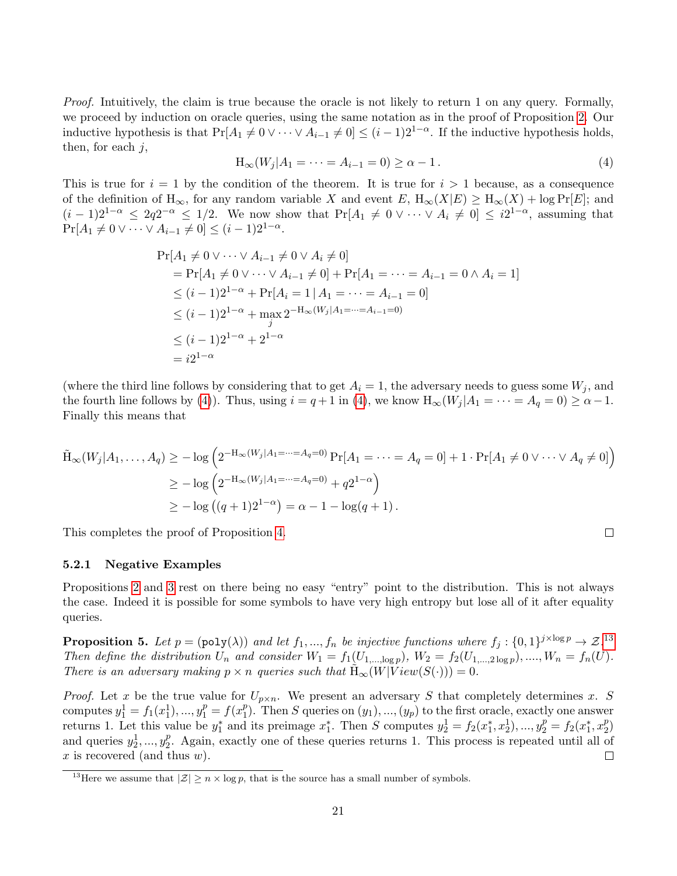Proof. Intuitively, the claim is true because the oracle is not likely to return 1 on any query. Formally, we proceed by induction on oracle queries, using the same notation as in the proof of Proposition [2.](#page-19-1) Our inductive hypothesis is that  $Pr[A_1 \neq 0 \vee \cdots \vee A_{i-1} \neq 0] \leq (i-1)2^{1-\alpha}$ . If the inductive hypothesis holds, then, for each  $j$ ,

<span id="page-20-0"></span>
$$
H_{\infty}(W_j|A_1 = \dots = A_{i-1} = 0) \ge \alpha - 1.
$$
\n(4)

This is true for  $i = 1$  by the condition of the theorem. It is true for  $i > 1$  because, as a consequence of the definition of  $H_{\infty}$ , for any random variable X and event  $E$ ,  $H_{\infty}(X|E) \geq H_{\infty}(X) + \log \Pr[E]$ ; and  $(i-1)2^{1-\alpha} \leq 2q2^{-\alpha} \leq 1/2$ . We now show that  $Pr[A_1 \neq 0 \vee \cdots \vee A_i \neq 0] \leq i2^{1-\alpha}$ , assuming that  $Pr[A_1 \neq 0 \vee \cdots \vee A_{i-1} \neq 0] \leq (i-1)2^{1-\alpha}.$ 

$$
\Pr[A_1 \neq 0 \lor \cdots \lor A_{i-1} \neq 0 \lor A_i \neq 0]
$$
\n
$$
= \Pr[A_1 \neq 0 \lor \cdots \lor A_{i-1} \neq 0] + \Pr[A_1 = \cdots = A_{i-1} = 0 \land A_i = 1]
$$
\n
$$
\leq (i-1)2^{1-\alpha} + \Pr[A_i = 1 | A_1 = \cdots = A_{i-1} = 0]
$$
\n
$$
\leq (i-1)2^{1-\alpha} + \max_{j} 2^{-H_{\infty}(W_j|A_1 = \cdots = A_{i-1} = 0)}
$$
\n
$$
\leq (i-1)2^{1-\alpha} + 2^{1-\alpha}
$$
\n
$$
= i2^{1-\alpha}
$$

(where the third line follows by considering that to get  $A_i = 1$ , the adversary needs to guess some  $W_j$ , and the fourth line follows by [\(4\)](#page-20-0)). Thus, using  $i = q + 1$  in (4), we know  $H_{\infty}(W_i | A_1 = \cdots = A_q = 0) \ge \alpha - 1$ . Finally this means that

$$
\tilde{H}_{\infty}(W_j|A_1,\ldots,A_q) \ge -\log\left(2^{-H_{\infty}(W_j|A_1=\cdots=A_q=0)}\Pr[A_1=\cdots=A_q=0]+1\cdot\Pr[A_1\neq 0\vee\cdots\vee A_q\neq 0]\right)
$$
\n
$$
\ge -\log\left(2^{-H_{\infty}(W_j|A_1=\cdots=A_q=0)}+q2^{1-\alpha}\right)
$$
\n
$$
\ge -\log\left((q+1)2^{1-\alpha}\right)=\alpha-1-\log(q+1).
$$

This completes the proof of Proposition [4.](#page-19-2)

#### 5.2.1 Negative Examples

Propositions [2](#page-19-1) and [3](#page-19-0) rest on there being no easy "entry" point to the distribution. This is not always the case. Indeed it is possible for some symbols to have very high entropy but lose all of it after equality queries.

**Proposition 5.** Let  $p = (poly(\lambda))$  and let  $f_1, ..., f_n$  be injective functions where  $f_j : \{0,1\}^{j \times log p} \to \mathcal{Z}$ .<sup>[13](#page-20-1)</sup> Then define the distribution  $U_n$  and consider  $W_1 = f_1(U_{1,\dots,\log p}), W_2 = f_2(U_{1,\dots,2\log p}), \dots, W_n = f_n(U)$ . There is an adversary making  $p \times n$  queries such that  $H_{\infty}(W|View(S(\cdot))) = 0$ .

*Proof.* Let x be the true value for  $U_{p \times n}$ . We present an adversary S that completely determines x. S computes  $y_1^1 = f_1(x_1^1), ..., y_1^p = f(x_1^p)$ <sup>p</sup><sub>1</sub>). Then S queries on  $(y_1)$ , ...,  $(y_p)$  to the first oracle, exactly one answer returns 1. Let this value be  $y_1^*$  and its preimage  $x_1^*$ . Then S computes  $y_2^1 = f_2(x_1^*, x_2^1), ..., y_2^p = f_2(x_1^*, x_2^p)$  $\binom{p}{2}$ and queries  $y_2^1, ..., y_2^p$  $_2^p$ . Again, exactly one of these queries returns 1. This process is repeated until all of x is recovered (and thus  $w$ ).  $\Box$ 

<span id="page-20-1"></span><sup>&</sup>lt;sup>13</sup>Here we assume that  $|\mathcal{Z}| \geq n \times \log p$ , that is the source has a small number of symbols.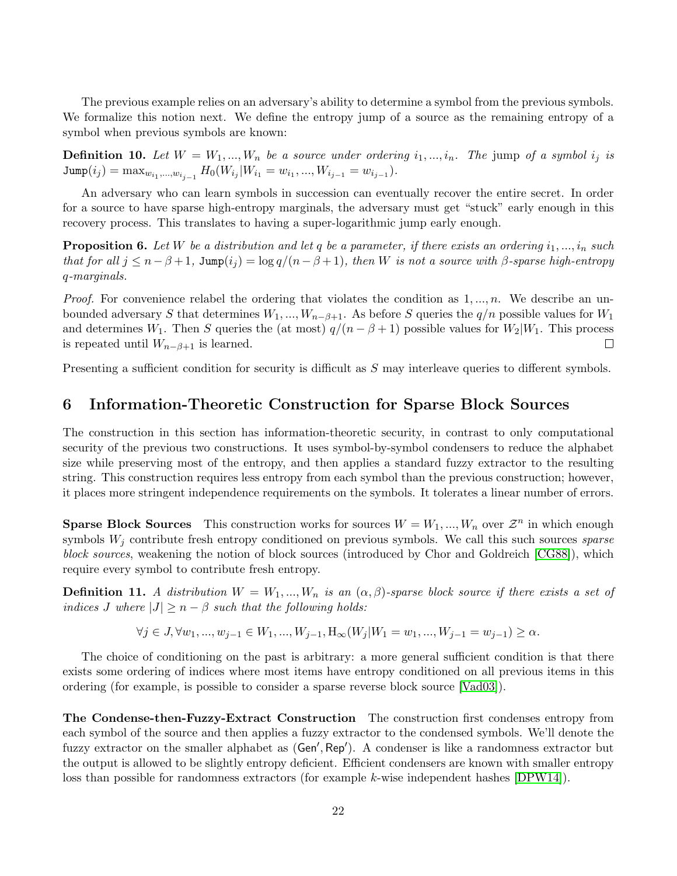The previous example relies on an adversary's ability to determine a symbol from the previous symbols. We formalize this notion next. We define the entropy jump of a source as the remaining entropy of a symbol when previous symbols are known:

**Definition 10.** Let  $W = W_1, ..., W_n$  be a source under ordering  $i_1, ..., i_n$ . The jump of a symbol  $i_j$  is  $\text{Jump}(i_j) = \max_{w_{i_1},...,w_{i_{j-1}}} H_0(W_{i_j}|W_{i_1} = w_{i_1},...,W_{i_{j-1}} = w_{i_{j-1}}).$ 

An adversary who can learn symbols in succession can eventually recover the entire secret. In order for a source to have sparse high-entropy marginals, the adversary must get "stuck" early enough in this recovery process. This translates to having a super-logarithmic jump early enough.

**Proposition 6.** Let W be a distribution and let q be a parameter, if there exists an ordering  $i_1, ..., i_n$  such that for all  $j \leq n-\beta+1$ , Jump $(i_j) = \log q/(n-\beta+1)$ , then W is not a source with  $\beta$ -sparse high-entropy q-marginals.

*Proof.* For convenience relabel the ordering that violates the condition as  $1, ..., n$ . We describe an unbounded adversary S that determines  $W_1, ..., W_{n-\beta+1}$ . As before S queries the  $q/n$  possible values for  $W_1$ and determines W<sub>1</sub>. Then S queries the (at most)  $q/(n - \beta + 1)$  possible values for W<sub>2</sub>|W<sub>1</sub>. This process is repeated until  $W_{n-\beta+1}$  is learned.  $\Box$ 

Presenting a sufficient condition for security is difficult as S may interleave queries to different symbols.

### 6 Information-Theoretic Construction for Sparse Block Sources

The construction in this section has information-theoretic security, in contrast to only computational security of the previous two constructions. It uses symbol-by-symbol condensers to reduce the alphabet size while preserving most of the entropy, and then applies a standard fuzzy extractor to the resulting string. This construction requires less entropy from each symbol than the previous construction; however, it places more stringent independence requirements on the symbols. It tolerates a linear number of errors.

**Sparse Block Sources** This construction works for sources  $W = W_1, ..., W_n$  over  $\mathcal{Z}^n$  in which enough symbols  $W_j$  contribute fresh entropy conditioned on previous symbols. We call this such sources sparse block sources, weakening the notion of block sources (introduced by Chor and Goldreich [\[CG88\]](#page-25-7)), which require every symbol to contribute fresh entropy.

**Definition 11.** A distribution  $W = W_1, ..., W_n$  is an  $(\alpha, \beta)$ -sparse block source if there exists a set of indices J where  $|J| \geq n - \beta$  such that the following holds:

$$
\forall j \in J, \forall w_1, ..., w_{j-1} \in W_1, ..., W_{j-1}, H_{\infty}(W_j | W_1 = w_1, ..., W_{j-1} = w_{j-1}) \ge \alpha.
$$

The choice of conditioning on the past is arbitrary: a more general sufficient condition is that there exists some ordering of indices where most items have entropy conditioned on all previous items in this ordering (for example, is possible to consider a sparse reverse block source [\[Vad03\]](#page-28-5)).

The Condense-then-Fuzzy-Extract Construction The construction first condenses entropy from each symbol of the source and then applies a fuzzy extractor to the condensed symbols. We'll denote the fuzzy extractor on the smaller alphabet as (Gen', Rep'). A condenser is like a randomness extractor but the output is allowed to be slightly entropy deficient. Efficient condensers are known with smaller entropy loss than possible for randomness extractors (for example k-wise independent hashes [\[DPW14\]](#page-26-13)).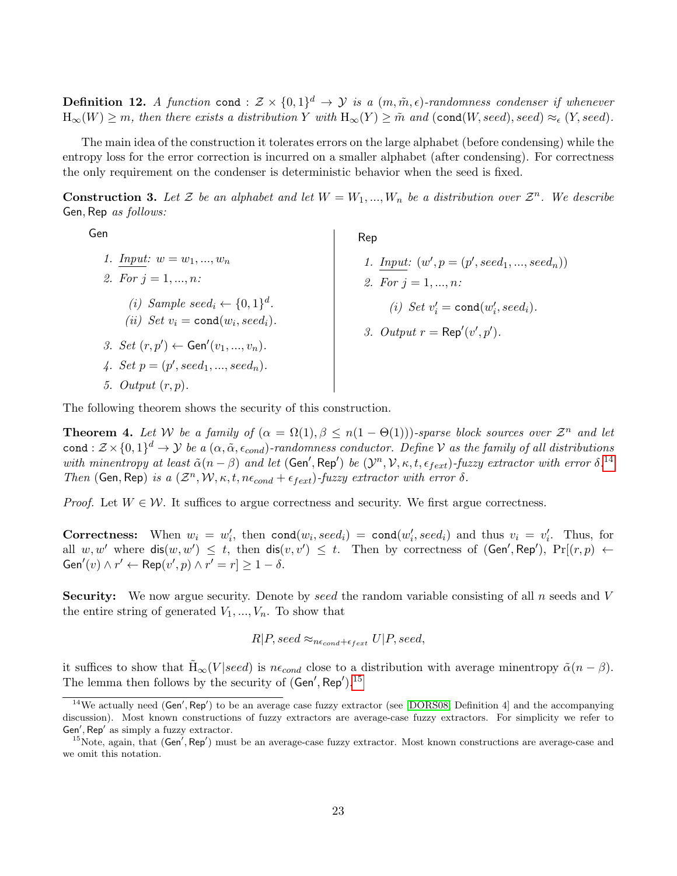**Definition 12.** A function cond :  $\mathcal{Z} \times \{0,1\}^d \to \mathcal{Y}$  is a  $(m,\tilde{m}, \epsilon)$ -randomness condenser if whenever  $H_{\infty}(W) \geq m$ , then there exists a distribution Y with  $H_{\infty}(Y) \geq \tilde{m}$  and (cond(W, seed), seed)  $\approx_{\epsilon}$  (Y, seed).

The main idea of the construction it tolerates errors on the large alphabet (before condensing) while the entropy loss for the error correction is incurred on a smaller alphabet (after condensing). For correctness the only requirement on the condenser is deterministic behavior when the seed is fixed.

<span id="page-22-3"></span>**Construction 3.** Let  $\mathcal{Z}$  be an alphabet and let  $W = W_1, ..., W_n$  be a distribution over  $\mathcal{Z}^n$ . We describe Gen, Rep as follows:

Rep

Gen

1. Input: 
$$
w = w_1, ..., w_n
$$
  
\n2. For  $j = 1, ..., n$ :  
\n(i) Sample seed<sub>i</sub>  $\leftarrow \{0, 1\}^d$ .  
\n(ii) Set  $v_i = \text{cond}(w_i, seed_i)$ .  
\n3. Set  $(r, p') \leftarrow \text{Gen}'(v_1, ..., v_n)$ .  
\n4. Set  $p = (p', seed_1, ..., seed_n)$ .  
\n5. Output  $(r, p)$ .

\n- 1. *Input:* 
$$
(w', p = (p', seed_1, \ldots, seed_n))
$$
\n- 2. For  $j = 1, \ldots, n$ :
\n- (i) Set  $v'_i = \text{cond}(w'_i, seed_i)$ .
\n- 3. Output  $r = \text{Rep}'(v', p')$ .
\n

The following theorem shows the security of this construction.

<span id="page-22-2"></span>**Theorem 4.** Let W be a family of  $(\alpha = \Omega(1), \beta \leq n(1 - \Theta(1)))$ -sparse block sources over  $\mathcal{Z}^n$  and let cond :  $\mathcal{Z} \times \{0,1\}^d \to \mathcal{Y}$  be a  $(\alpha, \tilde{\alpha}, \epsilon_{cond})$ -randomness conductor. Define V as the family of all distributions with minentropy at least  $\tilde{\alpha}(n-\beta)$  and let  $(\mathsf{Gen}', \mathsf{Rep}')$  be  $(\mathcal{Y}^n, \mathcal{V}, \kappa, t, \epsilon_{fext})$ -fuzzy extractor with error  $\delta$ .<sup>[14](#page-22-0)</sup> Then (Gen, Rep) is a  $(\mathcal{Z}^n, \mathcal{W}, \kappa, t, n\epsilon_{cond} + \epsilon_{fext})$ -fuzzy extractor with error  $\delta$ .

*Proof.* Let  $W \in \mathcal{W}$ . It suffices to argue correctness and security. We first argue correctness.

**Correctness:** When  $w_i = w'_i$ , then  $cond(w_i, seed_i) = cond(w'_i, seed_i)$  and thus  $v_i = v'_i$ . Thus, for all  $w, w'$  where  $dis(w, w') \leq t$ , then  $dis(v, v') \leq t$ . Then by correctness of  $(Gen', Rep'), Pr[(r, p) \leftarrow$  $Gen'(v) \wedge r' \leftarrow Rep(v', p) \wedge r' = r] \geq 1 - \delta.$ 

**Security:** We now argue security. Denote by seed the random variable consisting of all  $n$  seeds and  $V$ the entire string of generated  $V_1, ..., V_n$ . To show that

$$
R|P, seed \approx_{n\epsilon_{cond}+\epsilon_{fext}} U|P, seed,
$$

it suffices to show that  $H_{\infty}(V | seed)$  is  $n\epsilon_{cond}$  close to a distribution with average minentropy  $\tilde{\alpha}(n - \beta)$ . The lemma then follows by the security of  $(\mathsf{Gen}', \mathsf{Rep}')$ .<sup>[15](#page-22-1)</sup>

<span id="page-22-0"></span><sup>&</sup>lt;sup>14</sup>We actually need (Gen', Rep') to be an average case fuzzy extractor (see [\[DORS08,](#page-26-2) Definition 4] and the accompanying discussion). Most known constructions of fuzzy extractors are average-case fuzzy extractors. For simplicity we refer to Gen', Rep' as simply a fuzzy extractor.

<span id="page-22-1"></span> $15$ Note, again, that (Gen', Rep') must be an average-case fuzzy extractor. Most known constructions are average-case and we omit this notation.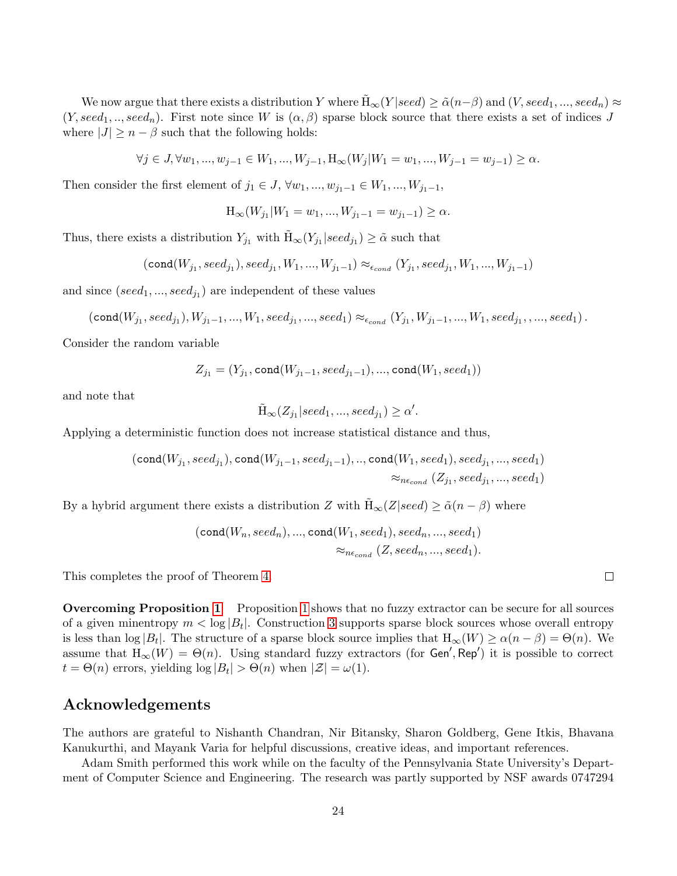We now argue that there exists a distribution Y where  $H_{\infty}(Y | seed) \geq \tilde{\alpha}(n-\beta)$  and  $(V, seed_1, ..., seed_n) \approx$  $(Y, seed_1, ..., seed_n)$ . First note since W is  $(\alpha, \beta)$  sparse block source that there exists a set of indices J where  $|J| \geq n - \beta$  such that the following holds:

$$
\forall j \in J, \forall w_1, ..., w_{j-1} \in W_1, ..., W_{j-1}, H_{\infty}(W_j | W_1 = w_1, ..., W_{j-1} = w_{j-1}) \ge \alpha.
$$

Then consider the first element of  $j_1 \in J$ ,  $\forall w_1, ..., w_{j_1-1} \in W_1, ..., W_{j_1-1}$ ,

$$
H_{\infty}(W_{j_1}|W_1=w_1,...,W_{j_1-1}=w_{j_1-1})\geq \alpha.
$$

Thus, there exists a distribution  $Y_{j_1}$  with  $\tilde{H}_{\infty}(Y_{j_1} | seed_{j_1}) \geq \tilde{\alpha}$  such that

$$
(\text{cond}(W_{j_1},seed_{j_1}),seed_{j_1}, W_1,...,W_{j_1-1}) \approx_{\epsilon_{cond}} (Y_{j_1},seed_{j_1}, W_1,...,W_{j_1-1})
$$

and since  $(seed_1, ..., seed_{j_1})$  are independent of these values

$$
(\text{cond}(W_{j_1},seed_{j_1}), W_{j_1-1}, ..., W_1, seed_{j_1}, ..., seed_1) \approx_{\epsilon_{cond}} (Y_{j_1}, W_{j_1-1}, ..., W_1, seed_{j_1}, ..., seed_1).
$$

Consider the random variable

$$
Z_{j_1} = (Y_{j_1}, \texttt{cond}(W_{j_1-1}, seed_{j_1-1}), ..., \texttt{cond}(W_1, seed_1))
$$

and note that

$$
\tilde{H}_{\infty}(Z_{j_1} | seed_1, ..., seed_{j_1}) \ge \alpha'.
$$

Applying a deterministic function does not increase statistical distance and thus,

$$
(\texttt{cond}(W_{j_1},seed_{j_1}), \texttt{cond}(W_{j_1-1},seed_{j_1-1}),.., \texttt{cond}(W_1,seed_1),seed_{j_1},...,seed_1)\\ \approx_{ne_{cond}}(Z_{j_1},seed_{j_1},...,seed_1)
$$

By a hybrid argument there exists a distribution Z with  $\tilde{H}_{\infty}(Z|seed) \geq \tilde{\alpha}(n-\beta)$  where

$$
(\texttt{cond}(W_n, seed_n), ..., \texttt{cond}(W_1, seed_1), seed_n, ..., seed_1) \\ \approx_{n\epsilon_{cond}}(Z, seed_n, ..., seed_1).
$$

This completes the proof of Theorem [4.](#page-22-2)

Overcoming Proposition [1](#page-2-5) Proposition [1](#page-2-5) shows that no fuzzy extractor can be secure for all sources of a given minentropy  $m < \log |B_t|$ . Construction [3](#page-22-3) supports sparse block sources whose overall entropy is less than  $\log |B_t|$ . The structure of a sparse block source implies that  $H_{\infty}(W) \ge \alpha(n-\beta) = \Theta(n)$ . We assume that  $H_{\infty}(W) = \Theta(n)$ . Using standard fuzzy extractors (for Gen', Rep') it is possible to correct  $t = \Theta(n)$  errors, yielding  $\log |B_t| > \Theta(n)$  when  $|\mathcal{Z}| = \omega(1)$ .

### Acknowledgements

The authors are grateful to Nishanth Chandran, Nir Bitansky, Sharon Goldberg, Gene Itkis, Bhavana Kanukurthi, and Mayank Varia for helpful discussions, creative ideas, and important references.

Adam Smith performed this work while on the faculty of the Pennsylvania State University's Department of Computer Science and Engineering. The research was partly supported by NSF awards 0747294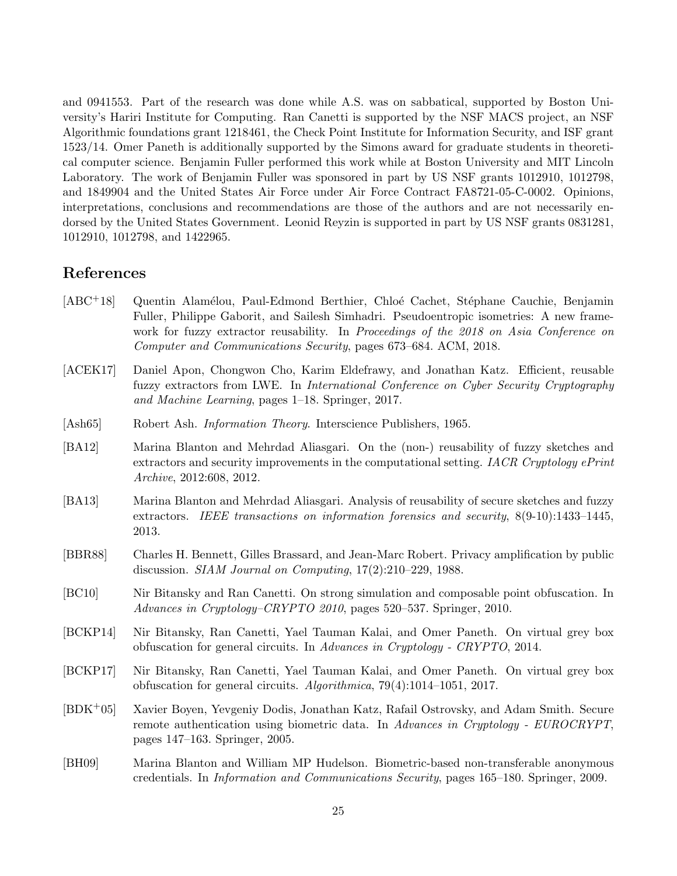and 0941553. Part of the research was done while A.S. was on sabbatical, supported by Boston University's Hariri Institute for Computing. Ran Canetti is supported by the NSF MACS project, an NSF Algorithmic foundations grant 1218461, the Check Point Institute for Information Security, and ISF grant 1523/14. Omer Paneth is additionally supported by the Simons award for graduate students in theoretical computer science. Benjamin Fuller performed this work while at Boston University and MIT Lincoln Laboratory. The work of Benjamin Fuller was sponsored in part by US NSF grants 1012910, 1012798, and 1849904 and the United States Air Force under Air Force Contract FA8721-05-C-0002. Opinions, interpretations, conclusions and recommendations are those of the authors and are not necessarily endorsed by the United States Government. Leonid Reyzin is supported in part by US NSF grants 0831281, 1012910, 1012798, and 1422965.

## References

- <span id="page-24-9"></span>[ABC<sup>+</sup>18] Quentin Alamélou, Paul-Edmond Berthier, Chloé Cachet, Stéphane Cauchie, Benjamin Fuller, Philippe Gaborit, and Sailesh Simhadri. Pseudoentropic isometries: A new framework for fuzzy extractor reusability. In Proceedings of the 2018 on Asia Conference on Computer and Communications Security, pages 673–684. ACM, 2018.
- <span id="page-24-8"></span>[ACEK17] Daniel Apon, Chongwon Cho, Karim Eldefrawy, and Jonathan Katz. Efficient, reusable fuzzy extractors from LWE. In International Conference on Cyber Security Cryptography and Machine Learning, pages 1–18. Springer, 2017.
- <span id="page-24-4"></span>[Ash65] Robert Ash. Information Theory. Interscience Publishers, 1965.
- <span id="page-24-1"></span>[BA12] Marina Blanton and Mehrdad Aliasgari. On the (non-) reusability of fuzzy sketches and extractors and security improvements in the computational setting. IACR Cryptology ePrint Archive, 2012:608, 2012.
- <span id="page-24-2"></span>[BA13] Marina Blanton and Mehrdad Aliasgari. Analysis of reusability of secure sketches and fuzzy extractors. IEEE transactions on information forensics and security, 8(9-10):1433–1445, 2013.
- <span id="page-24-0"></span>[BBR88] Charles H. Bennett, Gilles Brassard, and Jean-Marc Robert. Privacy amplification by public discussion. SIAM Journal on Computing, 17(2):210–229, 1988.
- <span id="page-24-10"></span>[BC10] Nir Bitansky and Ran Canetti. On strong simulation and composable point obfuscation. In Advances in Cryptology–CRYPTO 2010, pages 520–537. Springer, 2010.
- <span id="page-24-6"></span>[BCKP14] Nir Bitansky, Ran Canetti, Yael Tauman Kalai, and Omer Paneth. On virtual grey box obfuscation for general circuits. In Advances in Cryptology - CRYPTO, 2014.
- <span id="page-24-7"></span>[BCKP17] Nir Bitansky, Ran Canetti, Yael Tauman Kalai, and Omer Paneth. On virtual grey box obfuscation for general circuits. Algorithmica, 79(4):1014–1051, 2017.
- <span id="page-24-3"></span>[BDK+05] Xavier Boyen, Yevgeniy Dodis, Jonathan Katz, Rafail Ostrovsky, and Adam Smith. Secure remote authentication using biometric data. In Advances in Cryptology - EUROCRYPT, pages 147–163. Springer, 2005.
- <span id="page-24-5"></span>[BH09] Marina Blanton and William MP Hudelson. Biometric-based non-transferable anonymous credentials. In Information and Communications Security, pages 165–180. Springer, 2009.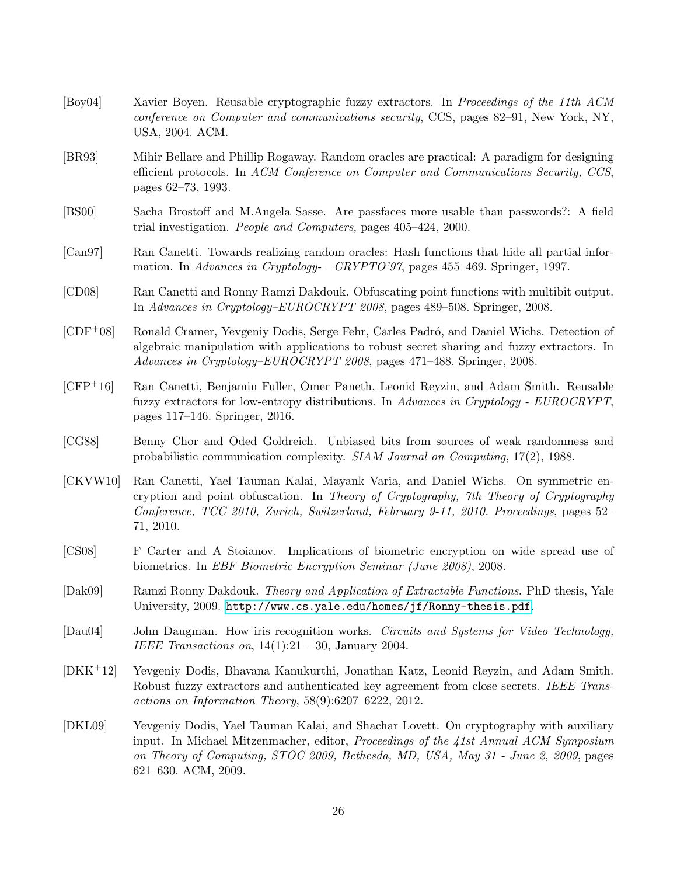- <span id="page-25-2"></span>[Boy04] Xavier Boyen. Reusable cryptographic fuzzy extractors. In Proceedings of the 11th ACM conference on Computer and communications security, CCS, pages 82–91, New York, NY, USA, 2004. ACM.
- <span id="page-25-10"></span>[BR93] Mihir Bellare and Phillip Rogaway. Random oracles are practical: A paradigm for designing efficient protocols. In ACM Conference on Computer and Communications Security, CCS, pages 62–73, 1993.
- <span id="page-25-1"></span>[BS00] Sacha Brostoff and M.Angela Sasse. Are passfaces more usable than passwords?: A field trial investigation. People and Computers, pages 405–424, 2000.
- <span id="page-25-12"></span>[Can97] Ran Canetti. Towards realizing random oracles: Hash functions that hide all partial information. In Advances in Cryptology--CRYPTO'97, pages 455-469. Springer, 1997.
- <span id="page-25-6"></span>[CD08] Ran Canetti and Ronny Ramzi Dakdouk. Obfuscating point functions with multibit output. In Advances in Cryptology–EUROCRYPT 2008, pages 489–508. Springer, 2008.
- <span id="page-25-4"></span>[CDF<sup>+</sup>08] Ronald Cramer, Yevgeniy Dodis, Serge Fehr, Carles Padró, and Daniel Wichs. Detection of algebraic manipulation with applications to robust secret sharing and fuzzy extractors. In Advances in Cryptology–EUROCRYPT 2008, pages 471–488. Springer, 2008.
- <span id="page-25-8"></span>[CFP+16] Ran Canetti, Benjamin Fuller, Omer Paneth, Leonid Reyzin, and Adam Smith. Reusable fuzzy extractors for low-entropy distributions. In Advances in Cryptology - EUROCRYPT, pages 117–146. Springer, 2016.
- <span id="page-25-7"></span>[CG88] Benny Chor and Oded Goldreich. Unbiased bits from sources of weak randomness and probabilistic communication complexity. SIAM Journal on Computing, 17(2), 1988.
- <span id="page-25-9"></span>[CKVW10] Ran Canetti, Yael Tauman Kalai, Mayank Varia, and Daniel Wichs. On symmetric encryption and point obfuscation. In Theory of Cryptography, 7th Theory of Cryptography Conference, TCC 2010, Zurich, Switzerland, February 9-11, 2010. Proceedings, pages 52– 71, 2010.
- <span id="page-25-13"></span>[CS08] F Carter and A Stoianov. Implications of biometric encryption on wide spread use of biometrics. In EBF Biometric Encryption Seminar (June 2008), 2008.
- <span id="page-25-11"></span>[Dak09] Ramzi Ronny Dakdouk. Theory and Application of Extractable Functions. PhD thesis, Yale University, 2009. <http://www.cs.yale.edu/homes/jf/Ronny-thesis.pdf>.
- <span id="page-25-0"></span>[Dau04] John Daugman. How iris recognition works. Circuits and Systems for Video Technology, IEEE Transactions on,  $14(1):21 - 30$ , January 2004.
- <span id="page-25-5"></span>[DKK+12] Yevgeniy Dodis, Bhavana Kanukurthi, Jonathan Katz, Leonid Reyzin, and Adam Smith. Robust fuzzy extractors and authenticated key agreement from close secrets. IEEE Transactions on Information Theory, 58(9):6207–6222, 2012.
- <span id="page-25-3"></span>[DKL09] Yevgeniy Dodis, Yael Tauman Kalai, and Shachar Lovett. On cryptography with auxiliary input. In Michael Mitzenmacher, editor, Proceedings of the 41st Annual ACM Symposium on Theory of Computing, STOC 2009, Bethesda, MD, USA, May 31 - June 2, 2009, pages 621–630. ACM, 2009.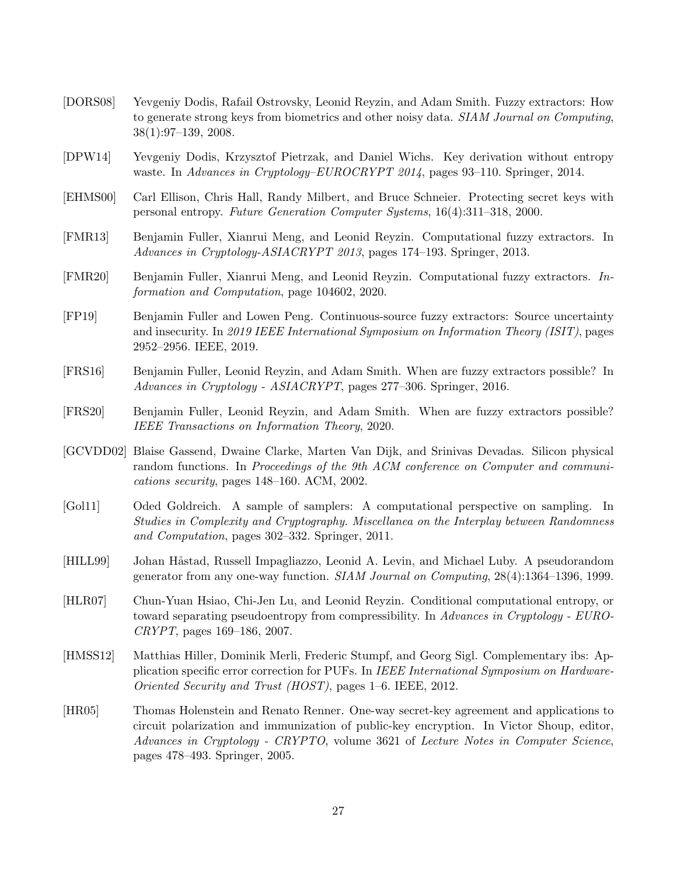- <span id="page-26-2"></span>[DORS08] Yevgeniy Dodis, Rafail Ostrovsky, Leonid Reyzin, and Adam Smith. Fuzzy extractors: How to generate strong keys from biometrics and other noisy data. SIAM Journal on Computing, 38(1):97–139, 2008.
- <span id="page-26-13"></span>[DPW14] Yevgeniy Dodis, Krzysztof Pietrzak, and Daniel Wichs. Key derivation without entropy waste. In Advances in Cryptology–EUROCRYPT 2014, pages 93–110. Springer, 2014.
- <span id="page-26-0"></span>[EHMS00] Carl Ellison, Chris Hall, Randy Milbert, and Bruce Schneier. Protecting secret keys with personal entropy. Future Generation Computer Systems, 16(4):311–318, 2000.
- <span id="page-26-3"></span>[FMR13] Benjamin Fuller, Xianrui Meng, and Leonid Reyzin. Computational fuzzy extractors. In Advances in Cryptology-ASIACRYPT 2013, pages 174–193. Springer, 2013.
- <span id="page-26-12"></span>[FMR20] Benjamin Fuller, Xianrui Meng, and Leonid Reyzin. Computational fuzzy extractors. Information and Computation, page 104602, 2020.
- <span id="page-26-8"></span>[FP19] Benjamin Fuller and Lowen Peng. Continuous-source fuzzy extractors: Source uncertainty and insecurity. In 2019 IEEE International Symposium on Information Theory (ISIT), pages 2952–2956. IEEE, 2019.
- <span id="page-26-6"></span>[FRS16] Benjamin Fuller, Leonid Reyzin, and Adam Smith. When are fuzzy extractors possible? In Advances in Cryptology - ASIACRYPT, pages 277–306. Springer, 2016.
- <span id="page-26-7"></span>[FRS20] Benjamin Fuller, Leonid Reyzin, and Adam Smith. When are fuzzy extractors possible? IEEE Transactions on Information Theory, 2020.
- <span id="page-26-1"></span>[GCVDD02] Blaise Gassend, Dwaine Clarke, Marten Van Dijk, and Srinivas Devadas. Silicon physical random functions. In Proceedings of the 9th ACM conference on Computer and communications security, pages 148–160. ACM, 2002.
- <span id="page-26-11"></span>[Gol11] Oded Goldreich. A sample of samplers: A computational perspective on sampling. In Studies in Complexity and Cryptography. Miscellanea on the Interplay between Randomness and Computation, pages 302–332. Springer, 2011.
- <span id="page-26-9"></span>[HILL99] Johan Håstad, Russell Impagliazzo, Leonid A. Levin, and Michael Luby. A pseudorandom generator from any one-way function. SIAM Journal on Computing, 28(4):1364–1396, 1999.
- <span id="page-26-10"></span>[HLR07] Chun-Yuan Hsiao, Chi-Jen Lu, and Leonid Reyzin. Conditional computational entropy, or toward separating pseudoentropy from compressibility. In Advances in Cryptology - EURO-CRYPT, pages 169–186, 2007.
- <span id="page-26-4"></span>[HMSS12] Matthias Hiller, Dominik Merli, Frederic Stumpf, and Georg Sigl. Complementary ibs: Application specific error correction for PUFs. In IEEE International Symposium on Hardware-Oriented Security and Trust (HOST), pages 1–6. IEEE, 2012.
- <span id="page-26-5"></span>[HR05] Thomas Holenstein and Renato Renner. One-way secret-key agreement and applications to circuit polarization and immunization of public-key encryption. In Victor Shoup, editor, Advances in Cryptology - CRYPTO, volume 3621 of Lecture Notes in Computer Science, pages 478–493. Springer, 2005.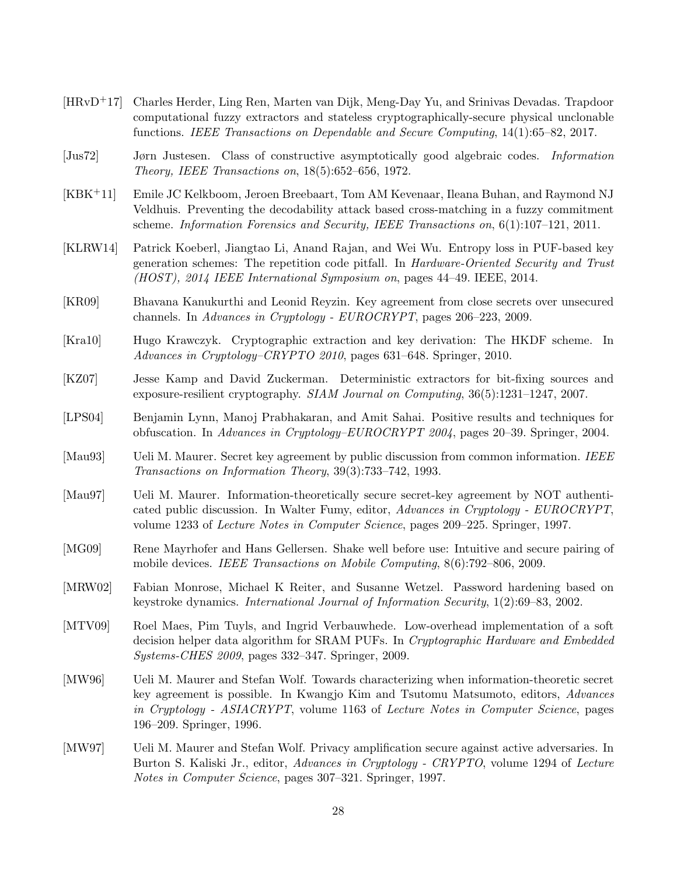- <span id="page-27-9"></span>[HRvD+17] Charles Herder, Ling Ren, Marten van Dijk, Meng-Day Yu, and Srinivas Devadas. Trapdoor computational fuzzy extractors and stateless cryptographically-secure physical unclonable functions. IEEE Transactions on Dependable and Secure Computing, 14(1):65–82, 2017.
- <span id="page-27-13"></span>[Jus72] Jørn Justesen. Class of constructive asymptotically good algebraic codes. Information Theory, IEEE Transactions on, 18(5):652–656, 1972.
- <span id="page-27-12"></span>[KBK+11] Emile JC Kelkboom, Jeroen Breebaart, Tom AM Kevenaar, Ileana Buhan, and Raymond NJ Veldhuis. Preventing the decodability attack based cross-matching in a fuzzy commitment scheme. Information Forensics and Security, IEEE Transactions on, 6(1):107–121, 2011.
- <span id="page-27-5"></span>[KLRW14] Patrick Koeberl, Jiangtao Li, Anand Rajan, and Wei Wu. Entropy loss in PUF-based key generation schemes: The repetition code pitfall. In Hardware-Oriented Security and Trust (HOST), 2014 IEEE International Symposium on, pages 44–49. IEEE, 2014.
- <span id="page-27-10"></span>[KR09] Bhavana Kanukurthi and Leonid Reyzin. Key agreement from close secrets over unsecured channels. In Advances in Cryptology - EUROCRYPT, pages 206–223, 2009.
- <span id="page-27-11"></span>[Kra10] Hugo Krawczyk. Cryptographic extraction and key derivation: The HKDF scheme. In Advances in Cryptology–CRYPTO 2010, pages 631–648. Springer, 2010.
- <span id="page-27-14"></span>[KZ07] Jesse Kamp and David Zuckerman. Deterministic extractors for bit-fixing sources and exposure-resilient cryptography. SIAM Journal on Computing, 36(5):1231–1247, 2007.
- <span id="page-27-4"></span>[LPS04] Benjamin Lynn, Manoj Prabhakaran, and Amit Sahai. Positive results and techniques for obfuscation. In Advances in Cryptology–EUROCRYPT 2004, pages 20–39. Springer, 2004.
- <span id="page-27-6"></span>[Mau93] Ueli M. Maurer. Secret key agreement by public discussion from common information. IEEE Transactions on Information Theory, 39(3):733–742, 1993.
- <span id="page-27-2"></span>[Mau97] Ueli M. Maurer. Information-theoretically secure secret-key agreement by NOT authenticated public discussion. In Walter Fumy, editor, Advances in Cryptology - EUROCRYPT, volume 1233 of Lecture Notes in Computer Science, pages 209–225. Springer, 1997.
- <span id="page-27-0"></span>[MG09] Rene Mayrhofer and Hans Gellersen. Shake well before use: Intuitive and secure pairing of mobile devices. IEEE Transactions on Mobile Computing, 8(6):792–806, 2009.
- <span id="page-27-1"></span>[MRW02] Fabian Monrose, Michael K Reiter, and Susanne Wetzel. Password hardening based on keystroke dynamics. International Journal of Information Security, 1(2):69–83, 2002.
- <span id="page-27-8"></span>[MTV09] Roel Maes, Pim Tuyls, and Ingrid Verbauwhede. Low-overhead implementation of a soft decision helper data algorithm for SRAM PUFs. In Cryptographic Hardware and Embedded Systems-CHES 2009, pages 332–347. Springer, 2009.
- <span id="page-27-7"></span>[MW96] Ueli M. Maurer and Stefan Wolf. Towards characterizing when information-theoretic secret key agreement is possible. In Kwangjo Kim and Tsutomu Matsumoto, editors, Advances in Cryptology - ASIACRYPT, volume 1163 of Lecture Notes in Computer Science, pages 196–209. Springer, 1996.
- <span id="page-27-3"></span>[MW97] Ueli M. Maurer and Stefan Wolf. Privacy amplification secure against active adversaries. In Burton S. Kaliski Jr., editor, Advances in Cryptology - CRYPTO, volume 1294 of Lecture Notes in Computer Science, pages 307–321. Springer, 1997.